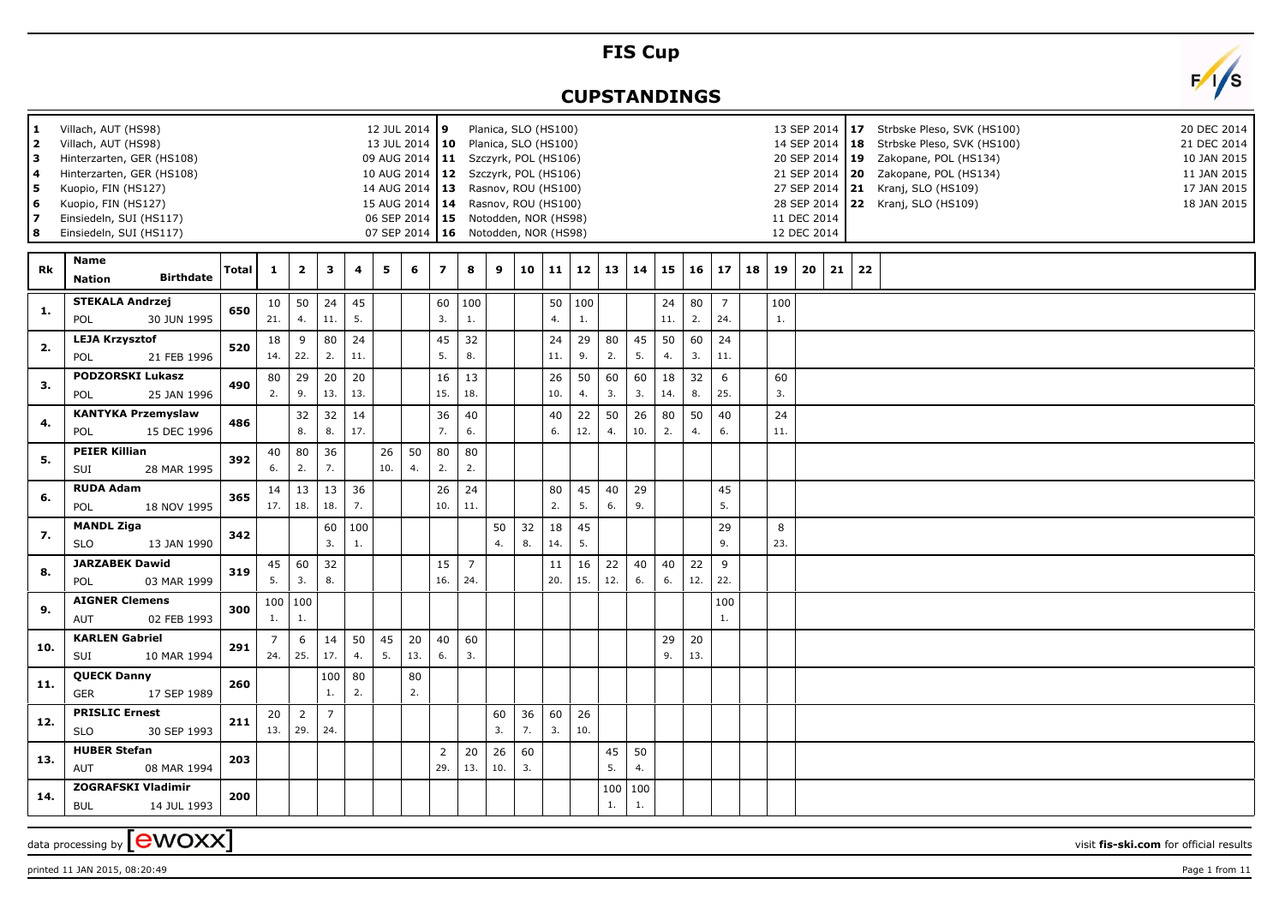## **FIS Cup**

## **CUPSTANDINGS**



| 1<br>2<br>l 3<br><b>4</b><br>5<br>6<br>17<br>8 | Villach, AUT (HS98)<br>Villach, AUT (HS98)<br>Hinterzarten, GER (HS108)<br>Hinterzarten, GER (HS108)<br>Kuopio, FIN (HS127)<br>Kuopio, FIN (HS127)<br>Einsiedeln, SUI (HS117)<br>Einsiedeln, SUI (HS117) |              |           |                         |                       |           |           | 12 JUL 2014 9<br>13 JUL 2014   10 Planica, SLO (HS100)<br>09 AUG 2014   11 Szczyrk, POL (HS106)<br>10 AUG 2014   12 Szczyrk, POL (HS106)<br>14 AUG 2014   13 Rasnov, ROU (HS100)<br>15 AUG 2014   14 Rasnov, ROU (HS100)<br>06 SEP 2014   15 Notodden, NOR (HS98)<br>07 SEP 2014   16 Notodden, NOR (HS98) |                         |                       |             |          | Planica, SLO (HS100) |           |           |           |           |           |                       |    |           | 14 SEP 2014   18<br>20 SEP 2014   19<br>21 SEP 2014   20<br>27 SEP 2014 21<br>11 DEC 2014<br>12 DEC 2014 |    |    | 13 SEP 2014   17 Strbske Pleso, SVK (HS100)<br>Strbske Pleso, SVK (HS100)<br>Zakopane, POL (HS134)<br>Zakopane, POL (HS134)<br>Kranj, SLO (HS109)<br>28 SEP 2014 22 Kranj, SLO (HS109) | 20 DEC 2014<br>21 DEC 2014<br>10 JAN 2015<br>11 JAN 2015<br>17 JAN 2015<br>18 JAN 2015 |
|------------------------------------------------|----------------------------------------------------------------------------------------------------------------------------------------------------------------------------------------------------------|--------------|-----------|-------------------------|-----------------------|-----------|-----------|------------------------------------------------------------------------------------------------------------------------------------------------------------------------------------------------------------------------------------------------------------------------------------------------------------|-------------------------|-----------------------|-------------|----------|----------------------|-----------|-----------|-----------|-----------|-----------|-----------------------|----|-----------|----------------------------------------------------------------------------------------------------------|----|----|----------------------------------------------------------------------------------------------------------------------------------------------------------------------------------------|----------------------------------------------------------------------------------------|
| Rk                                             | Name<br><b>Birthdate</b><br><b>Nation</b>                                                                                                                                                                | <b>Total</b> | 1         | $\overline{\mathbf{2}}$ | 3                     | 4         | 5         | 6                                                                                                                                                                                                                                                                                                          | $\overline{\mathbf{z}}$ | 8                     | 9           | 10       | 11                   | 12        | 13        | 14        | 15        | 16        | 17                    | 18 | 19        | 20                                                                                                       | 21 | 22 |                                                                                                                                                                                        |                                                                                        |
| 1.                                             | <b>STEKALA Andrzej</b><br>30 JUN 1995<br>POL                                                                                                                                                             | 650          | 10<br>21. | 50<br>4.                | 24<br>11.             | 45<br>5.  |           |                                                                                                                                                                                                                                                                                                            | 60<br>3.                | 100<br>1.             |             |          | 50<br>4.             | 100<br>1. |           |           | 24<br>11. | 80<br>2.  | $\overline{7}$<br>24. |    | 100<br>1. |                                                                                                          |    |    |                                                                                                                                                                                        |                                                                                        |
| 2.                                             | <b>LEJA Krzysztof</b><br>POL<br>21 FEB 1996                                                                                                                                                              | 520          | 18<br>14. | 9<br>22.                | 80<br>2.              | 24<br>11. |           |                                                                                                                                                                                                                                                                                                            | 45<br>5.                | 32<br>8.              |             |          | 24<br>11.            | 29<br>9.  | 80<br>2.  | 45<br>5.  | 50<br>4.  | 60<br>3.  | 24<br>11.             |    |           |                                                                                                          |    |    |                                                                                                                                                                                        |                                                                                        |
| 3.                                             | <b>PODZORSKI Lukasz</b><br>POL<br>25 JAN 1996                                                                                                                                                            | 490          | 80<br>2.  | 29<br>9.                | 20<br>13.             | 20<br>13. |           |                                                                                                                                                                                                                                                                                                            | 16<br>15.               | 13<br>18.             |             |          | 26<br>10.            | 50<br>4.  | 60<br>3.  | 60<br>3.  | 18<br>14. | 32<br>8.  | 6<br>25.              |    | 60<br>3.  |                                                                                                          |    |    |                                                                                                                                                                                        |                                                                                        |
| 4.                                             | <b>KANTYKA Przemyslaw</b><br>15 DEC 1996<br>POL                                                                                                                                                          | 486          |           | 32<br>8.                | 32<br>8.              | 14<br>17. |           |                                                                                                                                                                                                                                                                                                            | 36<br>7.                | 40<br>6.              |             |          | 40<br>6.             | 22<br>12. | 50<br>4.  | 26<br>10. | 80<br>2.  | 50<br>4.  | 40<br>6.              |    | 24<br>11. |                                                                                                          |    |    |                                                                                                                                                                                        |                                                                                        |
| 5.                                             | <b>PEIER Killian</b><br>SUI<br>28 MAR 1995                                                                                                                                                               | 392          | 40<br>6.  | 80<br>2.                | 36<br>7.              |           | 26<br>10. | 50<br>4.                                                                                                                                                                                                                                                                                                   | 80<br>2.                | 80<br>2.              |             |          |                      |           |           |           |           |           |                       |    |           |                                                                                                          |    |    |                                                                                                                                                                                        |                                                                                        |
| 6.                                             | <b>RUDA Adam</b><br>POL<br>18 NOV 1995                                                                                                                                                                   | 365          | 14<br>17. | 13<br>18.               | 13<br>18.             | 36<br>7.  |           |                                                                                                                                                                                                                                                                                                            | 26<br>10.               | 24<br>11.             |             |          | 80<br>2.             | 45<br>5.  | 40<br>6.  | 29<br>9.  |           |           | 45<br>5.              |    |           |                                                                                                          |    |    |                                                                                                                                                                                        |                                                                                        |
| 7.                                             | <b>MANDL Ziga</b><br><b>SLO</b><br>13 JAN 1990                                                                                                                                                           | 342          |           |                         | 60<br>3.              | 100<br>1. |           |                                                                                                                                                                                                                                                                                                            |                         |                       | 50<br>4.    | 32<br>8. | 18<br>14.            | 45<br>5.  |           |           |           |           | 29<br>9.              |    | 8<br>23.  |                                                                                                          |    |    |                                                                                                                                                                                        |                                                                                        |
| 8.                                             | <b>JARZABEK Dawid</b><br>POL<br>03 MAR 1999                                                                                                                                                              | 319          | 45<br>5.  | 60<br>3.                | 32<br>8.              |           |           |                                                                                                                                                                                                                                                                                                            | 15<br>16.               | $\overline{7}$<br>24. |             |          | 11<br>20.            | 16<br>15. | 22<br>12. | 40<br>6.  | 40<br>6.  | 22<br>12. | 9<br>22.              |    |           |                                                                                                          |    |    |                                                                                                                                                                                        |                                                                                        |
| 9.                                             | <b>AIGNER Clemens</b><br>AUT<br>02 FEB 1993                                                                                                                                                              | 300          | 1.        | 100   100<br>1.         |                       |           |           |                                                                                                                                                                                                                                                                                                            |                         |                       |             |          |                      |           |           |           |           |           | 100<br>1.             |    |           |                                                                                                          |    |    |                                                                                                                                                                                        |                                                                                        |
| 10.                                            | <b>KARLEN Gabriel</b><br>SUI<br>10 MAR 1994                                                                                                                                                              | 291          | 7<br>24.  | 6<br>25.                | 14<br>17.             | 50<br>4.  | 45<br>5.  | 20<br>13.                                                                                                                                                                                                                                                                                                  | 40<br>6.                | 60<br>3.              |             |          |                      |           |           |           | 29<br>9.  | 20<br>13. |                       |    |           |                                                                                                          |    |    |                                                                                                                                                                                        |                                                                                        |
| 11.                                            | <b>QUECK Danny</b><br><b>GER</b><br>17 SEP 1989                                                                                                                                                          | 260          |           |                         | 100<br>1.             | 80<br>2.  |           | 80<br>2.                                                                                                                                                                                                                                                                                                   |                         |                       |             |          |                      |           |           |           |           |           |                       |    |           |                                                                                                          |    |    |                                                                                                                                                                                        |                                                                                        |
| 12.                                            | <b>PRISLIC Ernest</b><br>30 SEP 1993<br><b>SLO</b>                                                                                                                                                       | 211          | 20<br>13. | $\overline{2}$<br>29.   | $\overline{7}$<br>24. |           |           |                                                                                                                                                                                                                                                                                                            |                         |                       | 60<br>3.    | 36<br>7. | 60<br>3.             | 26<br>10. |           |           |           |           |                       |    |           |                                                                                                          |    |    |                                                                                                                                                                                        |                                                                                        |
| 13.                                            | <b>HUBER Stefan</b><br>AUT<br>08 MAR 1994                                                                                                                                                                | 203          |           |                         |                       |           |           |                                                                                                                                                                                                                                                                                                            | $\overline{2}$<br>29.   | 20<br>13.             | 26<br>$10.$ | 60<br>3. |                      |           | 45<br>5.  | 50<br>4.  |           |           |                       |    |           |                                                                                                          |    |    |                                                                                                                                                                                        |                                                                                        |
| 14.                                            | <b>ZOGRAFSKI Vladimir</b><br><b>BUL</b><br>14 JUL 1993                                                                                                                                                   | 200          |           |                         |                       |           |           |                                                                                                                                                                                                                                                                                                            |                         |                       |             |          |                      |           | 100<br>1. | 100<br>1. |           |           |                       |    |           |                                                                                                          |    |    |                                                                                                                                                                                        |                                                                                        |

data processing by **CWOXX** visit **fis-ski.com** for official results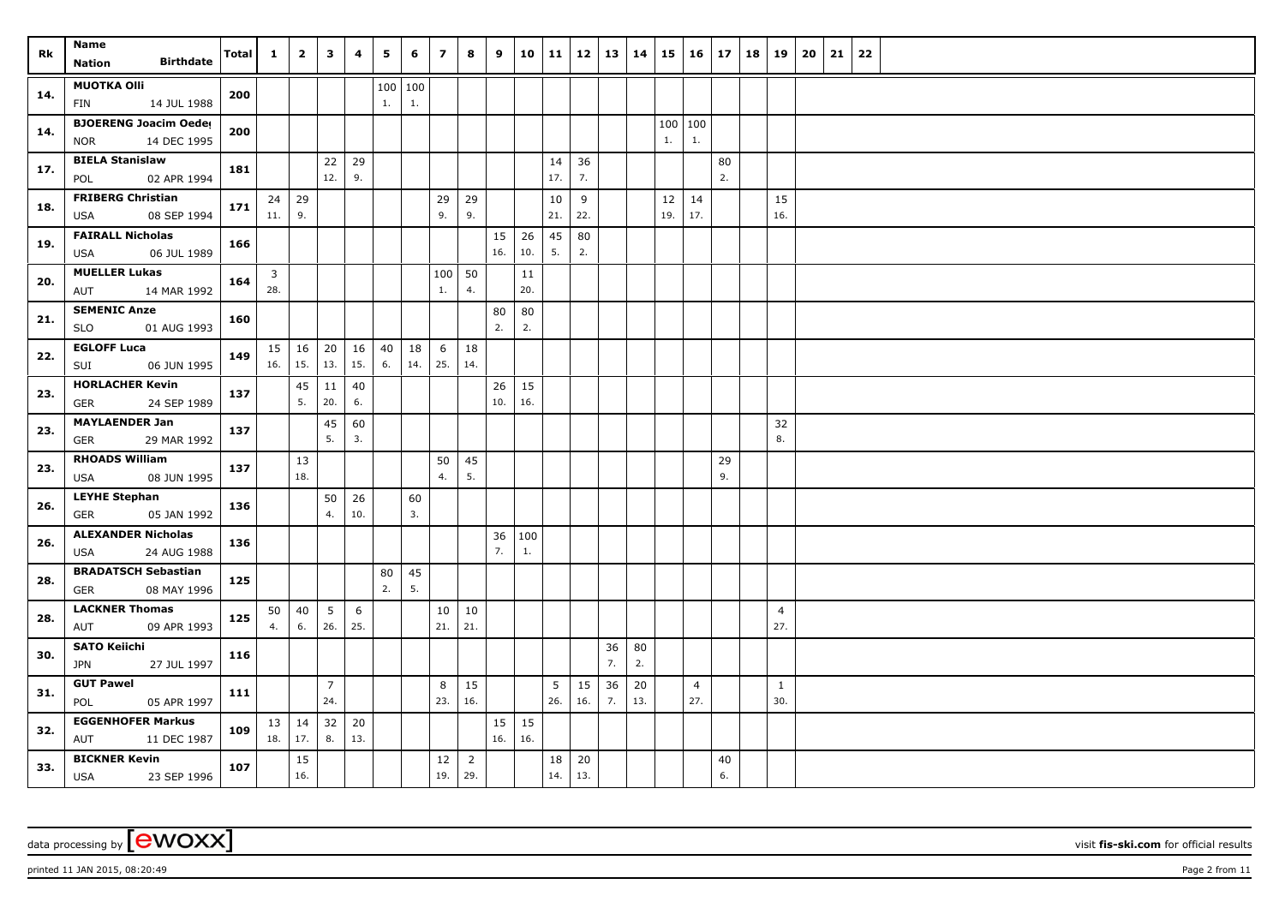| Rk  | Name<br><b>Birthdate</b><br>Nation                        | <b>Total</b> | $\mathbf{1}$ | $\overline{2}$    | $\mathbf{3}$          | 4         | 5        | 6               | $\overline{ }$ | 8                     | 9                   | 10        | 11        | 12        | 13       | 14        | 15        | 16                    | 17       | 18 | 19                    | 20 | 21 | 22 |
|-----|-----------------------------------------------------------|--------------|--------------|-------------------|-----------------------|-----------|----------|-----------------|----------------|-----------------------|---------------------|-----------|-----------|-----------|----------|-----------|-----------|-----------------------|----------|----|-----------------------|----|----|----|
| 14. | <b>MUOTKA OIII</b><br>14 JUL 1988<br><b>FIN</b>           | 200          |              |                   |                       |           | 1.       | 100   100<br>1. |                |                       |                     |           |           |           |          |           |           |                       |          |    |                       |    |    |    |
| 14. | <b>BJOERENG Joacim Oeder</b><br>14 DEC 1995<br><b>NOR</b> | 200          |              |                   |                       |           |          |                 |                |                       |                     |           |           |           |          |           | 1.        | 100 100<br>1.         |          |    |                       |    |    |    |
| 17. | <b>BIELA Stanislaw</b><br>02 APR 1994<br>POL              | 181          |              |                   | 22<br>12.             | 29<br>9.  |          |                 |                |                       |                     |           | 14<br>17. | 36<br>7.  |          |           |           |                       | 80<br>2. |    |                       |    |    |    |
| 18. | <b>FRIBERG Christian</b><br>08 SEP 1994<br>USA            | 171          | 24<br>11.    | 29<br>9.          |                       |           |          |                 | 29<br>9.       | 29<br>9.              |                     |           | 10<br>21. | 9<br>22.  |          |           | 12<br>19. | 14<br>17.             |          |    | 15<br>16.             |    |    |    |
| 19. | <b>FAIRALL Nicholas</b><br>06 JUL 1989<br>USA             | 166          |              |                   |                       |           |          |                 |                |                       | 15<br>16.           | 26<br>10. | 45<br>5.  | 80<br>2.  |          |           |           |                       |          |    |                       |    |    |    |
| 20. | <b>MUELLER Lukas</b><br>14 MAR 1992<br>AUT                | 164          | 3<br>28.     |                   |                       |           |          |                 | 100<br>1.      | 50<br>4.              |                     | 11<br>20. |           |           |          |           |           |                       |          |    |                       |    |    |    |
| 21. | <b>SEMENIC Anze</b><br>01 AUG 1993<br><b>SLO</b>          | 160          |              |                   |                       |           |          |                 |                |                       | 80<br>2.            | 80<br>2.  |           |           |          |           |           |                       |          |    |                       |    |    |    |
| 22. | <b>EGLOFF Luca</b><br>SUI<br>06 JUN 1995                  | 149          | 15 <br>16.   | $\vert$ 16<br>15. | 20<br>13.             | 16<br>15. | 40<br>6. | 18<br>14.       | 6<br>25.       | 18<br>14.             |                     |           |           |           |          |           |           |                       |          |    |                       |    |    |    |
| 23. | <b>HORLACHER Kevin</b><br>24 SEP 1989<br><b>GER</b>       | 137          |              | 45<br>5.          | 11<br>20.             | 40<br>6.  |          |                 |                |                       | 26<br>10.           | 15<br>16. |           |           |          |           |           |                       |          |    |                       |    |    |    |
| 23. | <b>MAYLAENDER Jan</b><br><b>GER</b><br>29 MAR 1992        | 137          |              |                   | 45<br>5.              | 60<br>3.  |          |                 |                |                       |                     |           |           |           |          |           |           |                       |          |    | 32<br>8.              |    |    |    |
| 23. | <b>RHOADS William</b><br>08 JUN 1995<br><b>USA</b>        | 137          |              | 13<br>18.         |                       |           |          |                 | 50<br>4.       | 45<br>5.              |                     |           |           |           |          |           |           |                       | 29<br>9. |    |                       |    |    |    |
| 26. | <b>LEYHE Stephan</b><br><b>GER</b><br>05 JAN 1992         | 136          |              |                   | 50<br>4.              | 26<br>10. |          | 60<br>3.        |                |                       |                     |           |           |           |          |           |           |                       |          |    |                       |    |    |    |
| 26. | <b>ALEXANDER Nicholas</b><br>24 AUG 1988<br>USA           | 136          |              |                   |                       |           |          |                 |                |                       | 36<br>7.            | 100<br>1. |           |           |          |           |           |                       |          |    |                       |    |    |    |
| 28. | <b>BRADATSCH Sebastian</b><br>08 MAY 1996<br>GER          | 125          |              |                   |                       |           | 80<br>2. | 45<br>5.        |                |                       |                     |           |           |           |          |           |           |                       |          |    |                       |    |    |    |
| 28. | <b>LACKNER Thomas</b><br>09 APR 1993<br>AUT               | 125          | 50<br>4.     | 40<br>6.          | 5<br>26.              | 6<br>25.  |          |                 | 10<br>21.      | 10<br>21.             |                     |           |           |           |          |           |           |                       |          |    | $\overline{4}$<br>27. |    |    |    |
| 30. | <b>SATO Keiichi</b><br>27 JUL 1997<br><b>JPN</b>          | 116          |              |                   |                       |           |          |                 |                |                       |                     |           |           |           | 36<br>7. | 80<br>2.  |           |                       |          |    |                       |    |    |    |
| 31. | <b>GUT Pawel</b><br>POL<br>05 APR 1997                    | 111          |              |                   | $\overline{7}$<br>24. |           |          |                 | 8<br>23.       | 15<br>16.             |                     |           | 5<br>26.  | 15<br>16. | 36<br>7. | 20<br>13. |           | $\overline{4}$<br>27. |          |    | $\mathbf{1}$<br>30.   |    |    |    |
| 32. | <b>EGGENHOFER Markus</b><br>AUT<br>11 DEC 1987            | 109          | 13 <br>18.   | 14<br> 17.        | 32<br>8.              | 20<br>13. |          |                 |                |                       | $15 \mid 15$<br>16. | 16.       |           |           |          |           |           |                       |          |    |                       |    |    |    |
| 33. | <b>BICKNER Kevin</b><br>23 SEP 1996<br><b>USA</b>         | 107          |              | 15<br>16.         |                       |           |          |                 | 12<br>19.      | $\overline{2}$<br>29. |                     |           | 18<br>14. | 20<br>13. |          |           |           |                       | 40<br>6. |    |                       |    |    |    |

printed 11 JAN 2015, 08:20:49 Page 2 from 11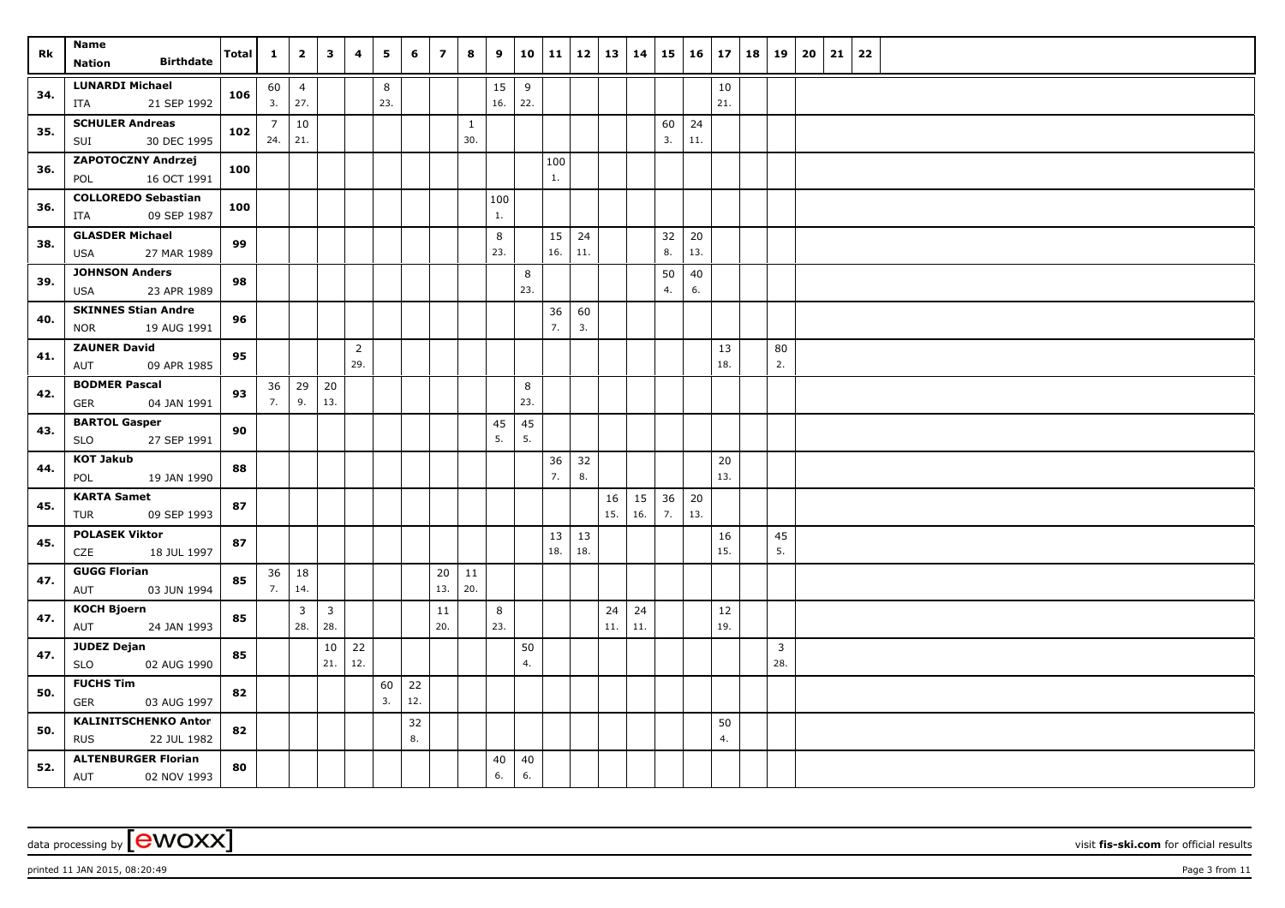| Rk  | Name                                                    | <b>Total</b> | $\mathbf{1}$          | $\overline{2}$ | 3             | 4              | 5   | 6   | $\overline{7}$ | 8                   | 9   | 10 <sup>1</sup> | 11       | 12       | 13   14 |     | 15       | $16 \mid 17$ |           | 18 | 19                  | 20 | 21 | 22 |
|-----|---------------------------------------------------------|--------------|-----------------------|----------------|---------------|----------------|-----|-----|----------------|---------------------|-----|-----------------|----------|----------|---------|-----|----------|--------------|-----------|----|---------------------|----|----|----|
|     | <b>Birthdate</b><br>Nation                              |              |                       |                |               |                |     |     |                |                     |     |                 |          |          |         |     |          |              |           |    |                     |    |    |    |
| 34. | <b>LUNARDI Michael</b>                                  | 106          |                       | $60 \mid 4$    |               |                | 8   |     |                |                     | 15  | 9               |          |          |         |     |          |              | 10        |    |                     |    |    |    |
|     | 21 SEP 1992<br>ITA                                      |              | 3.                    | 27.            |               |                | 23. |     |                |                     | 16. | 22.             |          |          |         |     |          |              | 21.       |    |                     |    |    |    |
| 35. | <b>SCHULER Andreas</b><br>30 DEC 1995<br>SUI            | 102          | $\overline{7}$<br>24. | 10<br>21.      |               |                |     |     |                | $\mathbf{1}$<br>30. |     |                 |          |          |         |     | 60<br>3. | 24<br>11.    |           |    |                     |    |    |    |
|     | <b>ZAPOTOCZNY Andrzej</b>                               |              |                       |                |               |                |     |     |                |                     |     |                 | 100      |          |         |     |          |              |           |    |                     |    |    |    |
| 36. | 16 OCT 1991<br>POL                                      | 100          |                       |                |               |                |     |     |                |                     |     |                 | 1.       |          |         |     |          |              |           |    |                     |    |    |    |
|     | <b>COLLOREDO Sebastian</b>                              |              |                       |                |               |                |     |     |                |                     | 100 |                 |          |          |         |     |          |              |           |    |                     |    |    |    |
| 36. | 09 SEP 1987<br>ITA                                      | 100          |                       |                |               |                |     |     |                |                     | 1.  |                 |          |          |         |     |          |              |           |    |                     |    |    |    |
| 38. | <b>GLASDER Michael</b>                                  | 99           |                       |                |               |                |     |     |                |                     | 8   |                 | 15       | 24       |         |     | 32       | 20           |           |    |                     |    |    |    |
|     | 27 MAR 1989<br>USA                                      |              |                       |                |               |                |     |     |                |                     | 23. |                 | 16.      | 11.      |         |     | 8.       | 13.          |           |    |                     |    |    |    |
| 39. | <b>JOHNSON Anders</b>                                   | 98           |                       |                |               |                |     |     |                |                     |     | 8               |          |          |         |     | 50       | 40           |           |    |                     |    |    |    |
|     | 23 APR 1989<br>USA                                      |              |                       |                |               |                |     |     |                |                     |     | 23.             |          |          |         |     | 4.       | 6.           |           |    |                     |    |    |    |
| 40. | <b>SKINNES Stian Andre</b><br>19 AUG 1991<br><b>NOR</b> | 96           |                       |                |               |                |     |     |                |                     |     |                 | 36<br>7. | 60<br>3. |         |     |          |              |           |    |                     |    |    |    |
|     | <b>ZAUNER David</b>                                     |              |                       |                |               | $\overline{2}$ |     |     |                |                     |     |                 |          |          |         |     |          |              | 13        |    | 80                  |    |    |    |
| 41. | 09 APR 1985<br>AUT                                      | 95           |                       |                |               | 29.            |     |     |                |                     |     |                 |          |          |         |     |          |              | 18.       |    | 2.                  |    |    |    |
| 42. | <b>BODMER Pascal</b>                                    | 93           |                       | $36 \mid 29$   | 20            |                |     |     |                |                     |     | 8               |          |          |         |     |          |              |           |    |                     |    |    |    |
|     | 04 JAN 1991<br><b>GER</b>                               |              | 7.                    | 9.             | 13.           |                |     |     |                |                     |     | 23.             |          |          |         |     |          |              |           |    |                     |    |    |    |
| 43. | <b>BARTOL Gasper</b>                                    | 90           |                       |                |               |                |     |     |                |                     | 45  | 45              |          |          |         |     |          |              |           |    |                     |    |    |    |
|     | 27 SEP 1991<br><b>SLO</b>                               |              |                       |                |               |                |     |     |                |                     | 5.  | 5.              |          |          |         |     |          |              |           |    |                     |    |    |    |
| 44. | <b>KOT Jakub</b>                                        | 88           |                       |                |               |                |     |     |                |                     |     |                 | 36<br>7. | 32<br>8. |         |     |          |              | 20<br>13. |    |                     |    |    |    |
|     | POL<br>19 JAN 1990<br><b>KARTA Samet</b>                |              |                       |                |               |                |     |     |                |                     |     |                 |          |          | 16      | 15  |          |              |           |    |                     |    |    |    |
| 45. | 09 SEP 1993<br>TUR                                      | 87           |                       |                |               |                |     |     |                |                     |     |                 |          |          | 15.     | 16. | 36<br>7. | 20<br>13.    |           |    |                     |    |    |    |
|     | <b>POLASEK Viktor</b>                                   |              |                       |                |               |                |     |     |                |                     |     |                 | 13       | 13       |         |     |          |              | 16        |    | 45                  |    |    |    |
| 45. | 18 JUL 1997<br>CZE                                      | 87           |                       |                |               |                |     |     |                |                     |     |                 | 18.      | 18.      |         |     |          |              | 15.       |    | 5.                  |    |    |    |
| 47. | <b>GUGG Florian</b>                                     | 85           |                       | $36 \mid 18$   |               |                |     |     | 20             | 11                  |     |                 |          |          |         |     |          |              |           |    |                     |    |    |    |
|     | 03 JUN 1994<br>AUT                                      |              | 7.                    | 14.            |               |                |     |     | 13.            | 20.                 |     |                 |          |          |         |     |          |              |           |    |                     |    |    |    |
| 47. | <b>KOCH Bjoern</b>                                      | 85           |                       | $\overline{3}$ | $\mathbf{3}$  |                |     |     | $11\,$         |                     | 8   |                 |          |          | 24      | 24  |          |              | 12        |    |                     |    |    |    |
|     | 24 JAN 1993<br>AUT                                      |              |                       | 28.            | 28.           |                |     |     | 20.            |                     | 23. |                 |          |          | 11.     | 11. |          |              | 19.       |    |                     |    |    |    |
| 47. | <b>JUDEZ Dejan</b><br>02 AUG 1990<br><b>SLO</b>         | 85           |                       |                | $10\,$<br>21. | 22<br>12.      |     |     |                |                     |     | 50<br>4.        |          |          |         |     |          |              |           |    | $\mathbf{3}$<br>28. |    |    |    |
|     | <b>FUCHS Tim</b>                                        |              |                       |                |               |                | 60  | 22  |                |                     |     |                 |          |          |         |     |          |              |           |    |                     |    |    |    |
| 50. | <b>GER</b><br>03 AUG 1997                               | 82           |                       |                |               |                | 3.  | 12. |                |                     |     |                 |          |          |         |     |          |              |           |    |                     |    |    |    |
| 50. | <b>KALINITSCHENKO Anton</b>                             | 82           |                       |                |               |                |     | 32  |                |                     |     |                 |          |          |         |     |          |              | 50        |    |                     |    |    |    |
|     | <b>RUS</b><br>22 JUL 1982                               |              |                       |                |               |                |     | 8.  |                |                     |     |                 |          |          |         |     |          |              | 4.        |    |                     |    |    |    |
| 52. | <b>ALTENBURGER Florian</b>                              | 80           |                       |                |               |                |     |     |                |                     | 40  | 40              |          |          |         |     |          |              |           |    |                     |    |    |    |
|     | AUT<br>02 NOV 1993                                      |              |                       |                |               |                |     |     |                |                     | 6.  | 6.              |          |          |         |     |          |              |           |    |                     |    |    |    |

printed 11 JAN 2015, 08:20:49 Page 3 from 11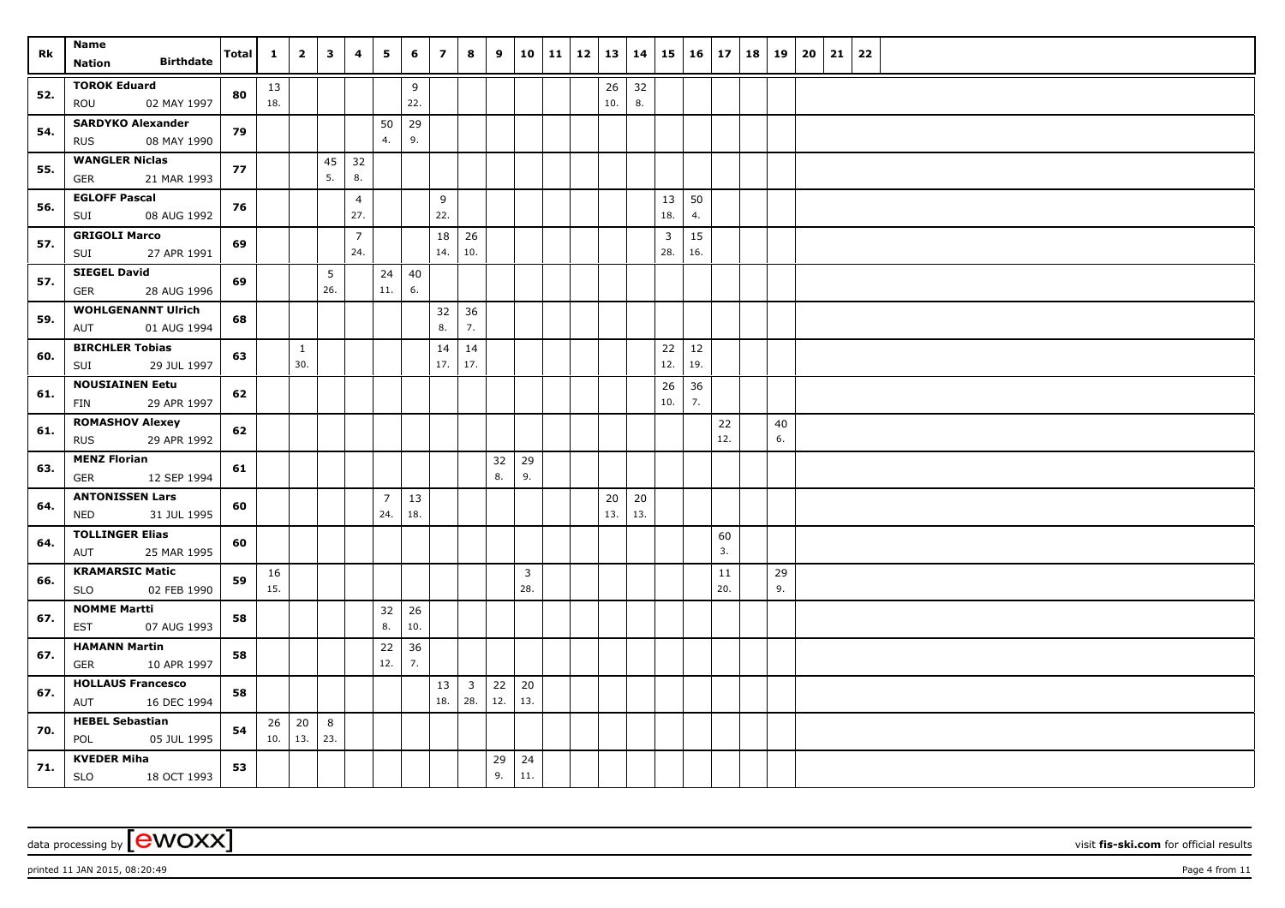| Rk  | Name<br><b>Birthdate</b>                         | <b>Total</b> | $\mathbf{1}$ | $\overline{2}$  | $\mathbf{3}$ | 4                     | 5              | 6         | $\overline{7}$ | 8                       | 9        |              | 10 11 | $12 \mid 13 \mid$ |           | 14       | 15                    | $16 \mid 17$ |     | 18 | 19 | 20 | 21 | 22 |  |
|-----|--------------------------------------------------|--------------|--------------|-----------------|--------------|-----------------------|----------------|-----------|----------------|-------------------------|----------|--------------|-------|-------------------|-----------|----------|-----------------------|--------------|-----|----|----|----|----|----|--|
|     | Nation                                           |              |              |                 |              |                       |                |           |                |                         |          |              |       |                   |           |          |                       |              |     |    |    |    |    |    |  |
| 52. | <b>TOROK Eduard</b><br>02 MAY 1997<br>ROU        | 80           | 13<br>18.    |                 |              |                       |                | 9<br>22.  |                |                         |          |              |       |                   | 26<br>10. | 32<br>8. |                       |              |     |    |    |    |    |    |  |
|     | <b>SARDYKO Alexander</b>                         |              |              |                 |              |                       | 50             | 29        |                |                         |          |              |       |                   |           |          |                       |              |     |    |    |    |    |    |  |
| 54. | 08 MAY 1990<br><b>RUS</b>                        | 79           |              |                 |              |                       | 4.             | 9.        |                |                         |          |              |       |                   |           |          |                       |              |     |    |    |    |    |    |  |
| 55. | <b>WANGLER Niclas</b>                            | 77           |              |                 | 45           | 32                    |                |           |                |                         |          |              |       |                   |           |          |                       |              |     |    |    |    |    |    |  |
|     | <b>GER</b><br>21 MAR 1993                        |              |              |                 | 5.           | 8.                    |                |           |                |                         |          |              |       |                   |           |          |                       |              |     |    |    |    |    |    |  |
| 56. | <b>EGLOFF Pascal</b>                             | 76           |              |                 |              | $\overline{4}$        |                |           | 9              |                         |          |              |       |                   |           |          | 13                    | 50           |     |    |    |    |    |    |  |
|     | 08 AUG 1992<br>SUI                               |              |              |                 |              | 27.                   |                |           | 22.            |                         |          |              |       |                   |           |          | 18.                   | 4.           |     |    |    |    |    |    |  |
| 57. | <b>GRIGOLI Marco</b><br>27 APR 1991<br>SUI       | 69           |              |                 |              | $\overline{7}$<br>24. |                |           | 18<br>14.      | 26<br>10.               |          |              |       |                   |           |          | $\overline{3}$<br>28. | 15<br>16.    |     |    |    |    |    |    |  |
| 57. | <b>SIEGEL David</b><br>28 AUG 1996<br><b>GER</b> | 69           |              |                 | 5<br>26.     |                       | 24<br>11.      | 40<br>6.  |                |                         |          |              |       |                   |           |          |                       |              |     |    |    |    |    |    |  |
|     | <b>WOHLGENANNT Ulrich</b>                        |              |              |                 |              |                       |                |           | 32             | 36                      |          |              |       |                   |           |          |                       |              |     |    |    |    |    |    |  |
| 59. | 01 AUG 1994<br>AUT                               | 68           |              |                 |              |                       |                |           | 8.             | 7.                      |          |              |       |                   |           |          |                       |              |     |    |    |    |    |    |  |
| 60. | <b>BIRCHLER Tobias</b>                           | 63           |              | $\mathbf{1}$    |              |                       |                |           | 14             | 14                      |          |              |       |                   |           |          | 22                    | 12           |     |    |    |    |    |    |  |
|     | 29 JUL 1997<br>SUI                               |              |              | 30.             |              |                       |                |           | 17.            | 17.                     |          |              |       |                   |           |          | 12.                   | 19.          |     |    |    |    |    |    |  |
| 61. | <b>NOUSIAINEN Eetu</b>                           | 62           |              |                 |              |                       |                |           |                |                         |          |              |       |                   |           |          | 26                    | 36           |     |    |    |    |    |    |  |
|     | 29 APR 1997<br><b>FIN</b>                        |              |              |                 |              |                       |                |           |                |                         |          |              |       |                   |           |          | 10.                   | 7.           |     |    |    |    |    |    |  |
| 61. | <b>ROMASHOV Alexey</b>                           | 62           |              |                 |              |                       |                |           |                |                         |          |              |       |                   |           |          |                       |              | 22  |    | 40 |    |    |    |  |
|     | <b>RUS</b><br>29 APR 1992                        |              |              |                 |              |                       |                |           |                |                         |          |              |       |                   |           |          |                       |              | 12. |    | 6. |    |    |    |  |
| 63. | <b>MENZ Florian</b><br><b>GER</b><br>12 SEP 1994 | 61           |              |                 |              |                       |                |           |                |                         | 32<br>8. | 29<br>9.     |       |                   |           |          |                       |              |     |    |    |    |    |    |  |
|     | <b>ANTONISSEN Lars</b>                           |              |              |                 |              |                       | $\overline{7}$ | 13        |                |                         |          |              |       |                   | 20        | 20       |                       |              |     |    |    |    |    |    |  |
| 64. | 31 JUL 1995<br><b>NED</b>                        | 60           |              |                 |              |                       | 24.            | 18.       |                |                         |          |              |       |                   | 13.       | 13.      |                       |              |     |    |    |    |    |    |  |
|     | <b>TOLLINGER Elias</b>                           |              |              |                 |              |                       |                |           |                |                         |          |              |       |                   |           |          |                       |              | 60  |    |    |    |    |    |  |
| 64. | 25 MAR 1995<br>AUT                               | 60           |              |                 |              |                       |                |           |                |                         |          |              |       |                   |           |          |                       |              | 3.  |    |    |    |    |    |  |
| 66. | <b>KRAMARSIC Matic</b>                           | 59           | 16           |                 |              |                       |                |           |                |                         |          | $\mathbf{3}$ |       |                   |           |          |                       |              | 11  |    | 29 |    |    |    |  |
|     | 02 FEB 1990<br><b>SLO</b>                        |              | 15.          |                 |              |                       |                |           |                |                         |          | 28.          |       |                   |           |          |                       |              | 20. |    | 9. |    |    |    |  |
| 67. | <b>NOMME Martti</b><br>07 AUG 1993<br>EST        | 58           |              |                 |              |                       | 32<br>8.       | 26<br>10. |                |                         |          |              |       |                   |           |          |                       |              |     |    |    |    |    |    |  |
|     | <b>HAMANN Martin</b>                             |              |              |                 |              |                       | $22$           | 36        |                |                         |          |              |       |                   |           |          |                       |              |     |    |    |    |    |    |  |
| 67. | 10 APR 1997<br>GER                               | 58           |              |                 |              |                       | 12.            | 7.        |                |                         |          |              |       |                   |           |          |                       |              |     |    |    |    |    |    |  |
| 67. | <b>HOLLAUS Francesco</b>                         | 58           |              |                 |              |                       |                |           | 13             | $\overline{\mathbf{3}}$ | 22       | 20           |       |                   |           |          |                       |              |     |    |    |    |    |    |  |
|     | 16 DEC 1994<br>AUT                               |              |              |                 |              |                       |                |           | 18.            | 28.                     | 12.      | 13.          |       |                   |           |          |                       |              |     |    |    |    |    |    |  |
| 70. | <b>HEBEL Sebastian</b>                           | 54           | 26           | 20<br>$10.$ 13. | 8<br>23.     |                       |                |           |                |                         |          |              |       |                   |           |          |                       |              |     |    |    |    |    |    |  |
|     | POL<br>05 JUL 1995<br><b>KVEDER Miha</b>         |              |              |                 |              |                       |                |           |                |                         |          |              |       |                   |           |          |                       |              |     |    |    |    |    |    |  |
| 71. | 18 OCT 1993<br>SLO                               | 53           |              |                 |              |                       |                |           |                |                         | 29<br>9. | 24<br>11.    |       |                   |           |          |                       |              |     |    |    |    |    |    |  |

printed 11 JAN 2015, 08:20:49 Page 4 from 11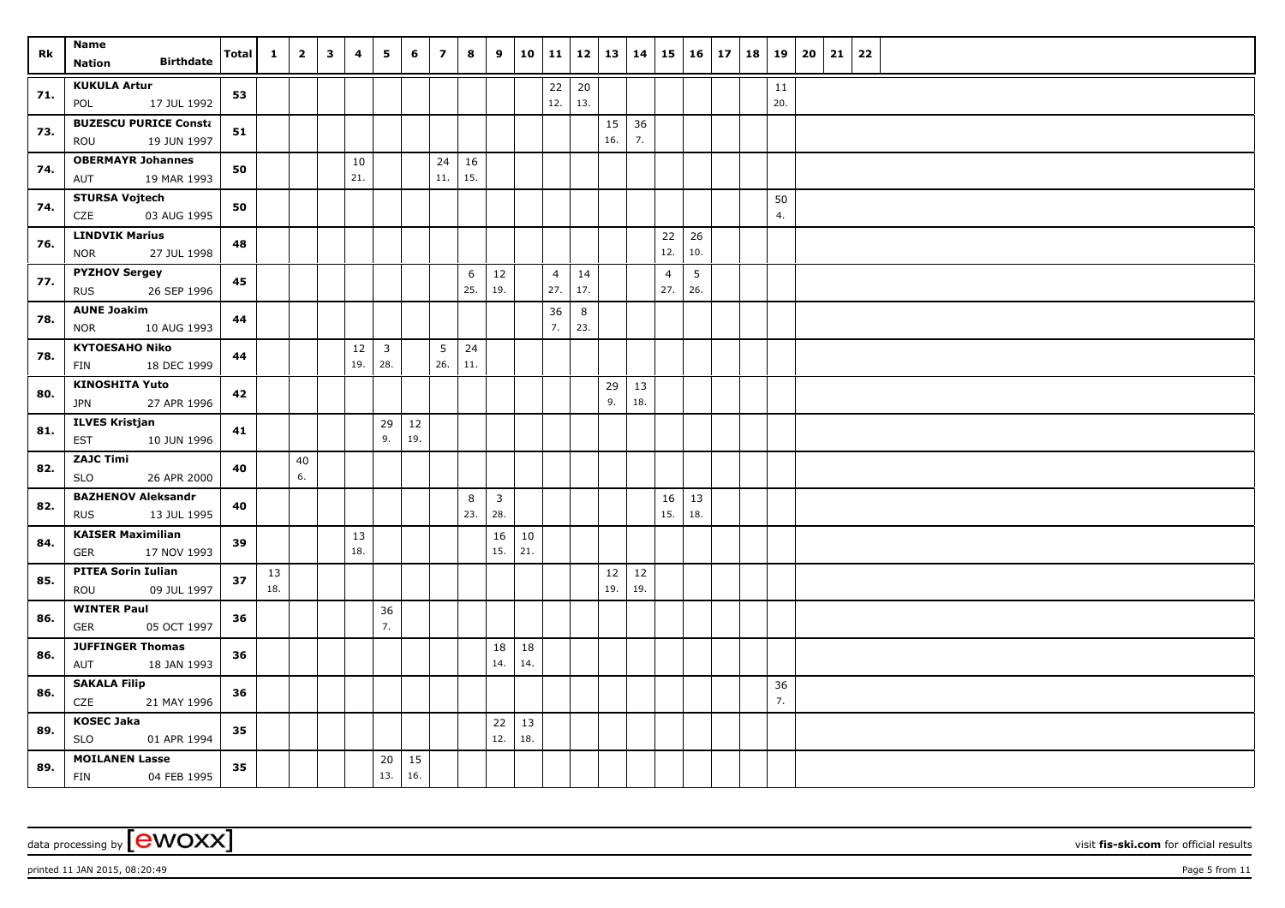| Rk  | Name<br><b>Birthdate</b><br>Nation                | <b>Total</b> | $\mathbf{1}$ | $\overline{2}$ | $\overline{\mathbf{3}}$ | 4   | 5              | 6      | $\overline{7}$ | 8        | 9              |           | $10 \mid 11$          |           | $12 \mid 13 \mid 14$ |        | $15 \vert$            | $16 \mid 17$           |  | 18   19   | 20 | 21 | 22 |  |
|-----|---------------------------------------------------|--------------|--------------|----------------|-------------------------|-----|----------------|--------|----------------|----------|----------------|-----------|-----------------------|-----------|----------------------|--------|-----------------------|------------------------|--|-----------|----|----|----|--|
|     |                                                   |              |              |                |                         |     |                |        |                |          |                |           |                       |           |                      |        |                       |                        |  |           |    |    |    |  |
| 71. | <b>KUKULA Artur</b><br>17 JUL 1992<br>POL         | 53           |              |                |                         |     |                |        |                |          |                |           | 22<br>12.             | 20<br>13. |                      |        |                       |                        |  | 11<br>20. |    |    |    |  |
|     | <b>BUZESCU PURICE Consta</b>                      |              |              |                |                         |     |                |        |                |          |                |           |                       |           | 15                   | 36     |                       |                        |  |           |    |    |    |  |
| 73. | ROU<br>19 JUN 1997                                | 51           |              |                |                         |     |                |        |                |          |                |           |                       |           | 16.                  | 7.     |                       |                        |  |           |    |    |    |  |
|     | <b>OBERMAYR Johannes</b>                          |              |              |                |                         | 10  |                |        | 24             | 16       |                |           |                       |           |                      |        |                       |                        |  |           |    |    |    |  |
| 74. | 19 MAR 1993<br>AUT                                | 50           |              |                |                         | 21. |                |        | 11.            | 15.      |                |           |                       |           |                      |        |                       |                        |  |           |    |    |    |  |
| 74. | <b>STURSA Vojtech</b>                             | 50           |              |                |                         |     |                |        |                |          |                |           |                       |           |                      |        |                       |                        |  | 50        |    |    |    |  |
|     | CZE<br>03 AUG 1995                                |              |              |                |                         |     |                |        |                |          |                |           |                       |           |                      |        |                       |                        |  | 4.        |    |    |    |  |
| 76. | <b>LINDVIK Marius</b>                             | 48           |              |                |                         |     |                |        |                |          |                |           |                       |           |                      |        | 22<br>12.             | 26<br>10.              |  |           |    |    |    |  |
|     | 27 JUL 1998<br><b>NOR</b><br><b>PYZHOV Sergey</b> |              |              |                |                         |     |                |        |                |          |                |           |                       |           |                      |        |                       |                        |  |           |    |    |    |  |
| 77. | 26 SEP 1996<br><b>RUS</b>                         | 45           |              |                |                         |     |                |        |                | 6<br>25. | 12<br>19.      |           | $\overline{4}$<br>27. | 14<br>17. |                      |        | $\overline{4}$<br>27. | $5\phantom{.0}$<br>26. |  |           |    |    |    |  |
|     | <b>AUNE Joakim</b>                                |              |              |                |                         |     |                |        |                |          |                |           | 36                    | 8         |                      |        |                       |                        |  |           |    |    |    |  |
| 78. | 10 AUG 1993<br><b>NOR</b>                         | 44           |              |                |                         |     |                |        |                |          |                |           | 7.                    | 23.       |                      |        |                       |                        |  |           |    |    |    |  |
| 78. | <b>KYTOESAHO Niko</b>                             | 44           |              |                |                         | 12  | $\overline{3}$ |        | 5              | 24       |                |           |                       |           |                      |        |                       |                        |  |           |    |    |    |  |
|     | 18 DEC 1999<br>FIN                                |              |              |                |                         | 19. | 28.            |        | 26.            | 11.      |                |           |                       |           |                      |        |                       |                        |  |           |    |    |    |  |
| 80. | <b>KINOSHITA Yuto</b>                             | 42           |              |                |                         |     |                |        |                |          |                |           |                       |           | 29                   | 13     |                       |                        |  |           |    |    |    |  |
|     | <b>JPN</b><br>27 APR 1996                         |              |              |                |                         |     |                |        |                |          |                |           |                       |           | 9.                   | 18.    |                       |                        |  |           |    |    |    |  |
| 81. | <b>ILVES Kristjan</b>                             | 41           |              |                |                         |     | 29             | $12\,$ |                |          |                |           |                       |           |                      |        |                       |                        |  |           |    |    |    |  |
|     | <b>EST</b><br>10 JUN 1996                         |              |              |                |                         |     | 9.             | 19.    |                |          |                |           |                       |           |                      |        |                       |                        |  |           |    |    |    |  |
| 82. | <b>ZAJC Timi</b><br><b>SLO</b><br>26 APR 2000     | 40           |              | 40<br>6.       |                         |     |                |        |                |          |                |           |                       |           |                      |        |                       |                        |  |           |    |    |    |  |
|     | <b>BAZHENOV Aleksandr</b>                         |              |              |                |                         |     |                |        |                | 8        | $\overline{3}$ |           |                       |           |                      |        | 16                    | 13                     |  |           |    |    |    |  |
| 82. | <b>RUS</b><br>13 JUL 1995                         | 40           |              |                |                         |     |                |        |                | 23.      | 28.            |           |                       |           |                      |        | 15.                   | 18.                    |  |           |    |    |    |  |
|     | <b>KAISER Maximilian</b>                          |              |              |                |                         | 13  |                |        |                |          | 16             | 10        |                       |           |                      |        |                       |                        |  |           |    |    |    |  |
| 84. | 17 NOV 1993<br>GER                                | 39           |              |                |                         | 18. |                |        |                |          | 15.            | 21.       |                       |           |                      |        |                       |                        |  |           |    |    |    |  |
| 85. | <b>PITEA Sorin Iulian</b>                         | 37           | 13           |                |                         |     |                |        |                |          |                |           |                       |           | 12                   | $12\,$ |                       |                        |  |           |    |    |    |  |
|     | 09 JUL 1997<br>ROU                                |              | 18.          |                |                         |     |                |        |                |          |                |           |                       |           | 19.                  | 19.    |                       |                        |  |           |    |    |    |  |
| 86. | <b>WINTER Paul</b>                                | 36           |              |                |                         |     | 36             |        |                |          |                |           |                       |           |                      |        |                       |                        |  |           |    |    |    |  |
|     | 05 OCT 1997<br><b>GER</b>                         |              |              |                |                         |     | 7.             |        |                |          |                |           |                       |           |                      |        |                       |                        |  |           |    |    |    |  |
| 86. | <b>JUFFINGER Thomas</b>                           | 36           |              |                |                         |     |                |        |                |          | 18             | 18        |                       |           |                      |        |                       |                        |  |           |    |    |    |  |
|     | 18 JAN 1993<br>AUT                                |              |              |                |                         |     |                |        |                |          | 14.            | 14.       |                       |           |                      |        |                       |                        |  |           |    |    |    |  |
| 86. | <b>SAKALA Filip</b>                               | 36           |              |                |                         |     |                |        |                |          |                |           |                       |           |                      |        |                       |                        |  | 36<br>7.  |    |    |    |  |
|     | CZE<br>21 MAY 1996<br><b>KOSEC Jaka</b>           |              |              |                |                         |     |                |        |                |          |                |           |                       |           |                      |        |                       |                        |  |           |    |    |    |  |
| 89. | <b>SLO</b><br>01 APR 1994                         | 35           |              |                |                         |     |                |        |                |          | 22<br>12.      | 13<br>18. |                       |           |                      |        |                       |                        |  |           |    |    |    |  |
|     | <b>MOILANEN Lasse</b>                             |              |              |                |                         |     | 20             | 15     |                |          |                |           |                       |           |                      |        |                       |                        |  |           |    |    |    |  |
| 89. | <b>FIN</b><br>04 FEB 1995                         | 35           |              |                |                         |     | 13.            | 16.    |                |          |                |           |                       |           |                      |        |                       |                        |  |           |    |    |    |  |

printed 11 JAN 2015, 08:20:49 Page 5 from 11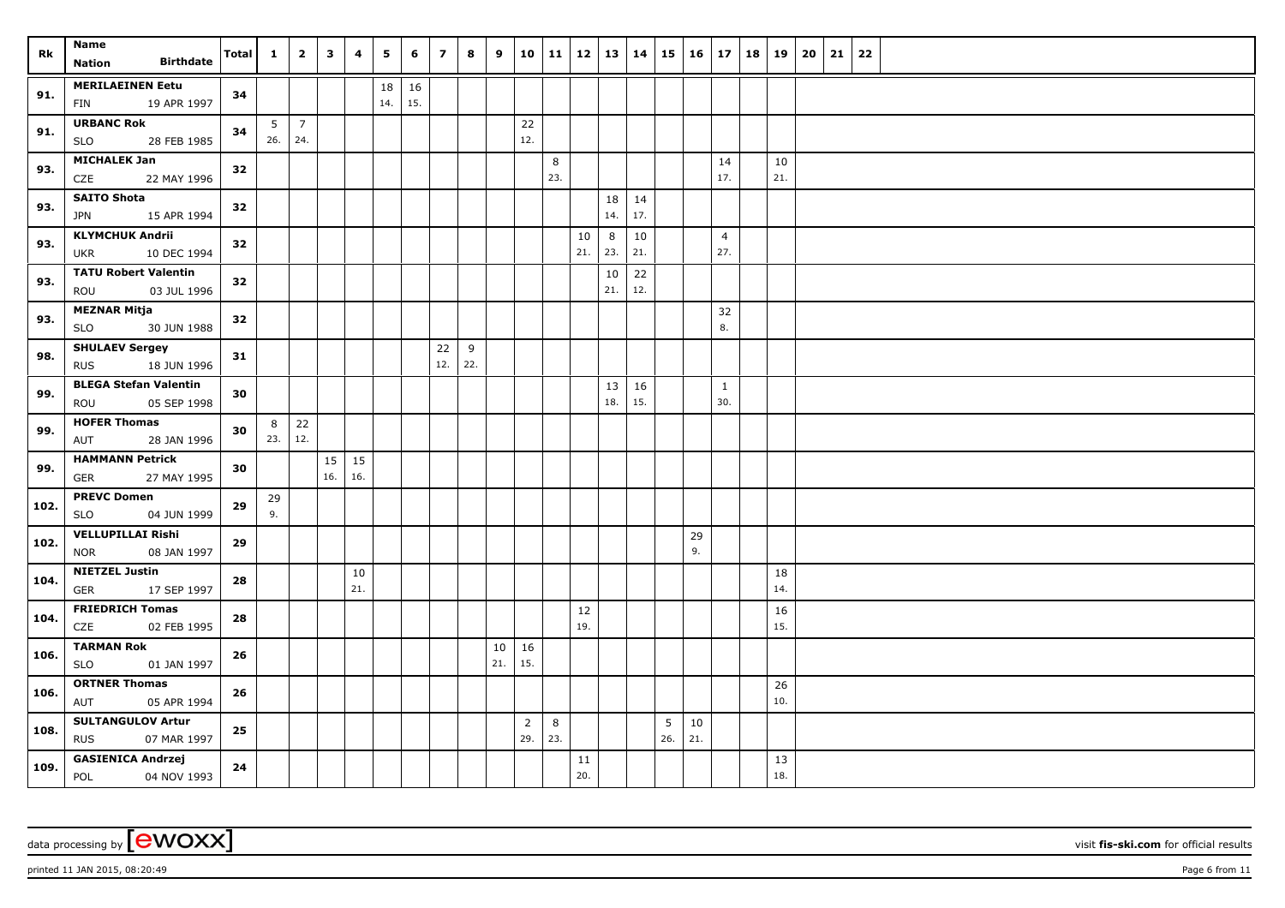| Rk   | Name<br><b>Birthdate</b>                              | <b>Total</b> | $\mathbf{1}$ | $\overline{2}$    | $\overline{\mathbf{3}}$ | 4            | 5         | 6         | $\overline{7}$ | 8   | 9   |                       | $10 \mid 11$ | $12 \mid 13 \mid 14$ |          |           | $15 \vert$ | $16 \mid 17$ |                       | 18   19 |           | 20<br>21 | 22 |
|------|-------------------------------------------------------|--------------|--------------|-------------------|-------------------------|--------------|-----------|-----------|----------------|-----|-----|-----------------------|--------------|----------------------|----------|-----------|------------|--------------|-----------------------|---------|-----------|----------|----|
|      | Nation                                                |              |              |                   |                         |              |           |           |                |     |     |                       |              |                      |          |           |            |              |                       |         |           |          |    |
| 91.  | <b>MERILAEINEN Eetu</b>                               | 34           |              |                   |                         |              | 18<br>14. | 16<br>15. |                |     |     |                       |              |                      |          |           |            |              |                       |         |           |          |    |
|      | 19 APR 1997<br>FIN                                    |              |              |                   |                         |              |           |           |                |     |     |                       |              |                      |          |           |            |              |                       |         |           |          |    |
| 91.  | <b>URBANC Rok</b><br>28 FEB 1985<br><b>SLO</b>        | 34           | 26.          | $5 \mid 7$<br>24. |                         |              |           |           |                |     |     | 22<br>12.             |              |                      |          |           |            |              |                       |         |           |          |    |
|      | <b>MICHALEK Jan</b>                                   |              |              |                   |                         |              |           |           |                |     |     |                       |              |                      |          |           |            |              |                       |         |           |          |    |
| 93.  | CZE<br>22 MAY 1996                                    | 32           |              |                   |                         |              |           |           |                |     |     |                       | 8<br>23.     |                      |          |           |            |              | 14<br>17.             |         | 10<br>21. |          |    |
| 93.  | <b>SAITO Shota</b>                                    | 32           |              |                   |                         |              |           |           |                |     |     |                       |              |                      | 18       | 14        |            |              |                       |         |           |          |    |
|      | 15 APR 1994<br>JPN                                    |              |              |                   |                         |              |           |           |                |     |     |                       |              |                      | 14.      | 17.       |            |              |                       |         |           |          |    |
| 93.  | <b>KLYMCHUK Andrii</b><br>10 DEC 1994<br>UKR          | 32           |              |                   |                         |              |           |           |                |     |     |                       |              | 10<br>21.            | 8<br>23. | 10<br>21. |            |              | $\overline{4}$<br>27. |         |           |          |    |
| 93.  | <b>TATU Robert Valentin</b>                           | 32           |              |                   |                         |              |           |           |                |     |     |                       |              |                      | 10       | 22        |            |              |                       |         |           |          |    |
|      | ROU<br>03 JUL 1996                                    |              |              |                   |                         |              |           |           |                |     |     |                       |              |                      | 21.      | 12.       |            |              |                       |         |           |          |    |
| 93.  | <b>MEZNAR Mitja</b><br>30 JUN 1988<br><b>SLO</b>      | 32           |              |                   |                         |              |           |           |                |     |     |                       |              |                      |          |           |            |              | 32<br>8.              |         |           |          |    |
|      | <b>SHULAEV Sergey</b>                                 |              |              |                   |                         |              |           |           | 22             | 9   |     |                       |              |                      |          |           |            |              |                       |         |           |          |    |
| 98.  | <b>RUS</b><br>18 JUN 1996                             | 31           |              |                   |                         |              |           |           | 12.            | 22. |     |                       |              |                      |          |           |            |              |                       |         |           |          |    |
| 99.  | <b>BLEGA Stefan Valentin</b>                          | 30           |              |                   |                         |              |           |           |                |     |     |                       |              |                      | 13       | 16        |            |              | $\mathbf{1}$          |         |           |          |    |
|      | ROU<br>05 SEP 1998                                    |              |              |                   |                         |              |           |           |                |     |     |                       |              |                      | 18.      | 15.       |            |              | 30.                   |         |           |          |    |
| 99.  | <b>HOFER Thomas</b>                                   | 30           | 8            | 22                |                         |              |           |           |                |     |     |                       |              |                      |          |           |            |              |                       |         |           |          |    |
|      | 28 JAN 1996<br>AUT                                    |              | 23.          | 12.               |                         |              |           |           |                |     |     |                       |              |                      |          |           |            |              |                       |         |           |          |    |
| 99.  | <b>HAMMANN Petrick</b>                                | 30           |              |                   |                         | $15 \mid 15$ |           |           |                |     |     |                       |              |                      |          |           |            |              |                       |         |           |          |    |
|      | GER<br>27 MAY 1995                                    |              |              |                   | 16.                     | 16.          |           |           |                |     |     |                       |              |                      |          |           |            |              |                       |         |           |          |    |
| 102. | <b>PREVC Domen</b>                                    | 29           | 29           |                   |                         |              |           |           |                |     |     |                       |              |                      |          |           |            |              |                       |         |           |          |    |
|      | <b>SLO</b><br>04 JUN 1999                             |              | 9.           |                   |                         |              |           |           |                |     |     |                       |              |                      |          |           |            |              |                       |         |           |          |    |
| 102. | <b>VELLUPILLAI Rishi</b><br>08 JAN 1997<br><b>NOR</b> | 29           |              |                   |                         |              |           |           |                |     |     |                       |              |                      |          |           |            | 29<br>9.     |                       |         |           |          |    |
| 104. | <b>NIETZEL Justin</b>                                 | 28           |              |                   |                         | 10           |           |           |                |     |     |                       |              |                      |          |           |            |              |                       |         | 18        |          |    |
|      | 17 SEP 1997<br><b>GER</b>                             |              |              |                   |                         | 21.          |           |           |                |     |     |                       |              |                      |          |           |            |              |                       |         | 14.       |          |    |
| 104. | <b>FRIEDRICH Tomas</b>                                | 28           |              |                   |                         |              |           |           |                |     |     |                       |              | 12                   |          |           |            |              |                       |         | 16        |          |    |
|      | CZE<br>02 FEB 1995                                    |              |              |                   |                         |              |           |           |                |     |     |                       |              | 19.                  |          |           |            |              |                       |         | 15.       |          |    |
| 106. | <b>TARMAN Rok</b>                                     | 26           |              |                   |                         |              |           |           |                |     | 10  | 16                    |              |                      |          |           |            |              |                       |         |           |          |    |
|      | <b>SLO</b><br>01 JAN 1997                             |              |              |                   |                         |              |           |           |                |     | 21. | 15.                   |              |                      |          |           |            |              |                       |         |           |          |    |
| 106. | <b>ORTNER Thomas</b>                                  | 26           |              |                   |                         |              |           |           |                |     |     |                       |              |                      |          |           |            |              |                       |         | 26<br>10. |          |    |
|      | AUT<br>05 APR 1994                                    |              |              |                   |                         |              |           |           |                |     |     |                       |              |                      |          |           |            |              |                       |         |           |          |    |
| 108. | <b>SULTANGULOV Artur</b><br>07 MAR 1997<br><b>RUS</b> | 25           |              |                   |                         |              |           |           |                |     |     | $\overline{2}$<br>29. | 8<br>23.     |                      |          |           | 5<br>26.   | 10<br>21.    |                       |         |           |          |    |
| 109. | <b>GASIENICA Andrzej</b><br><b>POL</b><br>04 NOV 1993 | 24           |              |                   |                         |              |           |           |                |     |     |                       |              | 11<br>20.            |          |           |            |              |                       |         | 13<br>18. |          |    |

printed 11 JAN 2015, 08:20:49 Page 6 from 11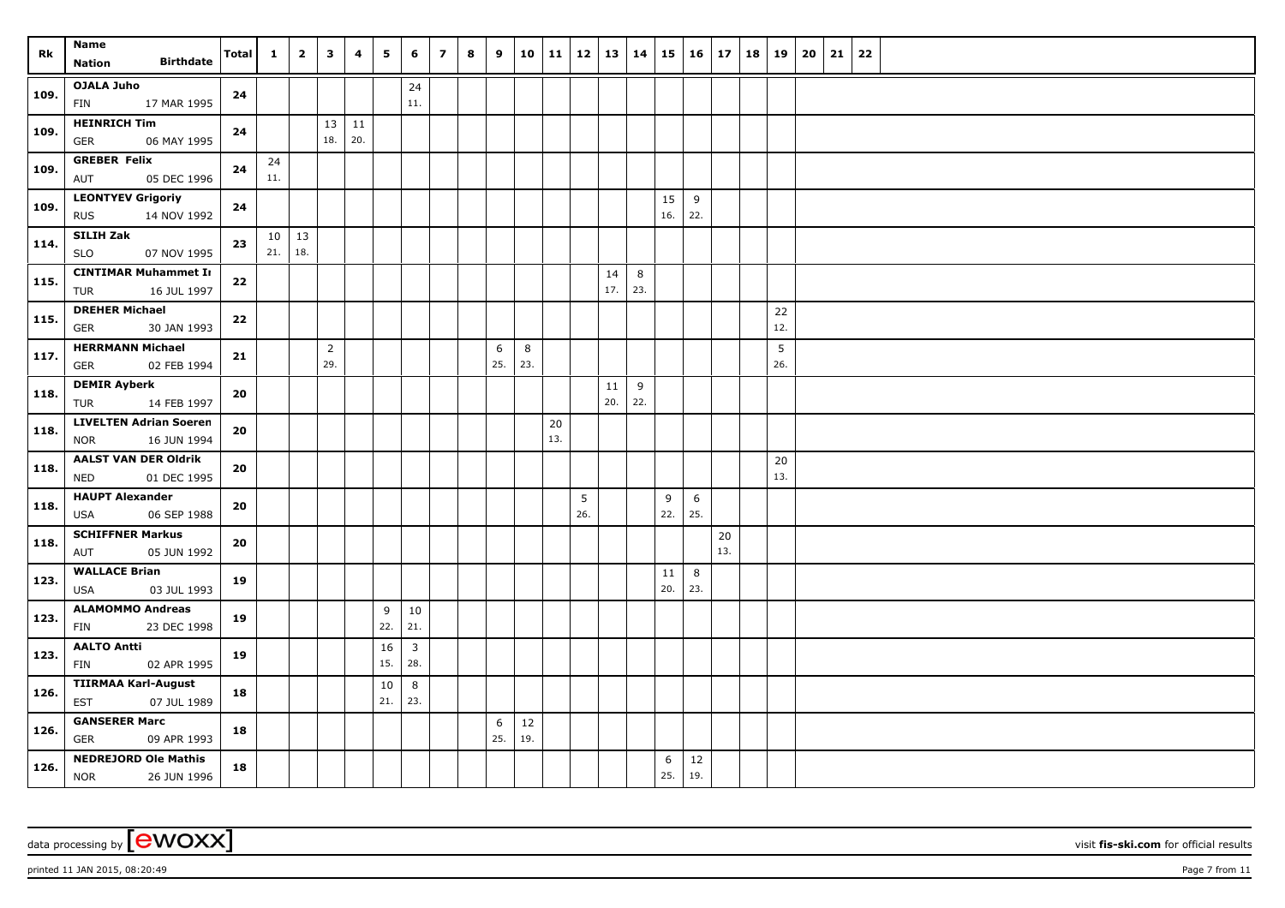| Rk   | Name<br><b>Birthdate</b><br><b>Nation</b>                | Total | $\mathbf{1}$    | $\overline{2}$ | $\overline{\mathbf{3}}$ | 4                    | 5         | 6                              | $\overline{z}$ | 8 | 9        | 10      | 11 12 |          | 13        | 14       |           | $15 \mid 16$ | 17  | 18 | 19        | 20 | 21 | 22 |  |
|------|----------------------------------------------------------|-------|-----------------|----------------|-------------------------|----------------------|-----------|--------------------------------|----------------|---|----------|---------|-------|----------|-----------|----------|-----------|--------------|-----|----|-----------|----|----|----|--|
|      |                                                          |       |                 |                |                         |                      |           |                                |                |   |          |         |       |          |           |          |           |              |     |    |           |    |    |    |  |
| 109. | <b>OJALA Juho</b><br>17 MAR 1995<br>FIN                  | 24    |                 |                |                         |                      |           | $24\,$<br>11.                  |                |   |          |         |       |          |           |          |           |              |     |    |           |    |    |    |  |
| 109. | <b>HEINRICH Tim</b><br><b>GER</b><br>06 MAY 1995         | 24    |                 |                | 18.                     | $13 \mid 11$<br> 20. |           |                                |                |   |          |         |       |          |           |          |           |              |     |    |           |    |    |    |  |
| 109. | <b>GREBER Felix</b><br>05 DEC 1996<br>AUT                | 24    | 24<br>11.       |                |                         |                      |           |                                |                |   |          |         |       |          |           |          |           |              |     |    |           |    |    |    |  |
| 109. | <b>LEONTYEV Grigoriy</b>                                 | 24    |                 |                |                         |                      |           |                                |                |   |          |         |       |          |           |          | 15        | 9            |     |    |           |    |    |    |  |
|      | 14 NOV 1992<br><b>RUS</b><br>SILIH Zak                   |       | 10 <sup>1</sup> | 13             |                         |                      |           |                                |                |   |          |         |       |          |           |          | 16.       | 22.          |     |    |           |    |    |    |  |
| 114. | <b>SLO</b><br>07 NOV 1995                                | 23    | 21.             | 18.            |                         |                      |           |                                |                |   |          |         |       |          |           |          |           |              |     |    |           |    |    |    |  |
| 115. | <b>CINTIMAR Muhammet Ir</b><br><b>TUR</b><br>16 JUL 1997 | 22    |                 |                |                         |                      |           |                                |                |   |          |         |       |          | 14<br>17. | 8<br>23. |           |              |     |    |           |    |    |    |  |
| 115. | <b>DREHER Michael</b><br>30 JAN 1993<br><b>GER</b>       | 22    |                 |                |                         |                      |           |                                |                |   |          |         |       |          |           |          |           |              |     |    | 22<br>12. |    |    |    |  |
|      | <b>HERRMANN Michael</b>                                  |       |                 |                | $\overline{2}$          |                      |           |                                |                |   | 6        | $\bf 8$ |       |          |           |          |           |              |     |    | 5         |    |    |    |  |
| 117. | 02 FEB 1994<br><b>GER</b>                                | 21    |                 |                | 29.                     |                      |           |                                |                |   | 25.      | 23.     |       |          |           |          |           |              |     |    | 26.       |    |    |    |  |
| 118. | <b>DEMIR Ayberk</b>                                      | 20    |                 |                |                         |                      |           |                                |                |   |          |         |       |          | 11        | 9        |           |              |     |    |           |    |    |    |  |
|      | <b>TUR</b><br>14 FEB 1997                                |       |                 |                |                         |                      |           |                                |                |   |          |         |       |          | 20.       | 22.      |           |              |     |    |           |    |    |    |  |
| 118. | <b>LIVELTEN Adrian Soeren</b>                            | 20    |                 |                |                         |                      |           |                                |                |   |          |         | 20    |          |           |          |           |              |     |    |           |    |    |    |  |
|      | 16 JUN 1994<br><b>NOR</b>                                |       |                 |                |                         |                      |           |                                |                |   |          |         | 13.   |          |           |          |           |              |     |    |           |    |    |    |  |
| 118. | <b>AALST VAN DER Oldrik</b><br><b>NED</b><br>01 DEC 1995 | 20    |                 |                |                         |                      |           |                                |                |   |          |         |       |          |           |          |           |              |     |    | 20<br>13. |    |    |    |  |
| 118. | <b>HAUPT Alexander</b><br>06 SEP 1988<br><b>USA</b>      | 20    |                 |                |                         |                      |           |                                |                |   |          |         |       | 5<br>26. |           |          | 9<br>22.  | 6<br>25.     |     |    |           |    |    |    |  |
|      | <b>SCHIFFNER Markus</b>                                  |       |                 |                |                         |                      |           |                                |                |   |          |         |       |          |           |          |           |              | 20  |    |           |    |    |    |  |
| 118. | 05 JUN 1992<br>AUT                                       | 20    |                 |                |                         |                      |           |                                |                |   |          |         |       |          |           |          |           |              | 13. |    |           |    |    |    |  |
| 123. | <b>WALLACE Brian</b><br>03 JUL 1993<br>USA               | 19    |                 |                |                         |                      |           |                                |                |   |          |         |       |          |           |          | 11<br>20. | 8<br>23.     |     |    |           |    |    |    |  |
| 123. | <b>ALAMOMMO Andreas</b><br>23 DEC 1998<br>FIN            | 19    |                 |                |                         |                      | 9<br>22.  | 10<br>21.                      |                |   |          |         |       |          |           |          |           |              |     |    |           |    |    |    |  |
| 123. | <b>AALTO Antti</b><br>02 APR 1995<br>FIN                 | 19    |                 |                |                         |                      | 16<br>15. | $\overline{\mathbf{3}}$<br>28. |                |   |          |         |       |          |           |          |           |              |     |    |           |    |    |    |  |
| 126. | <b>TIIRMAA Karl-August</b><br>07 JUL 1989<br><b>EST</b>  | 18    |                 |                |                         |                      | 10<br>21. | 8<br>23.                       |                |   |          |         |       |          |           |          |           |              |     |    |           |    |    |    |  |
|      | <b>GANSERER Marc</b>                                     |       |                 |                |                         |                      |           |                                |                |   |          | 12      |       |          |           |          |           |              |     |    |           |    |    |    |  |
| 126. | <b>GER</b><br>09 APR 1993                                | 18    |                 |                |                         |                      |           |                                |                |   | 6<br>25. | 19.     |       |          |           |          |           |              |     |    |           |    |    |    |  |
| 126. | <b>NEDREJORD Ole Mathis</b><br><b>NOR</b><br>26 JUN 1996 | 18    |                 |                |                         |                      |           |                                |                |   |          |         |       |          |           |          | 6<br>25.  | 12<br>19.    |     |    |           |    |    |    |  |

printed 11 JAN 2015, 08:20:49 Page 7 from 11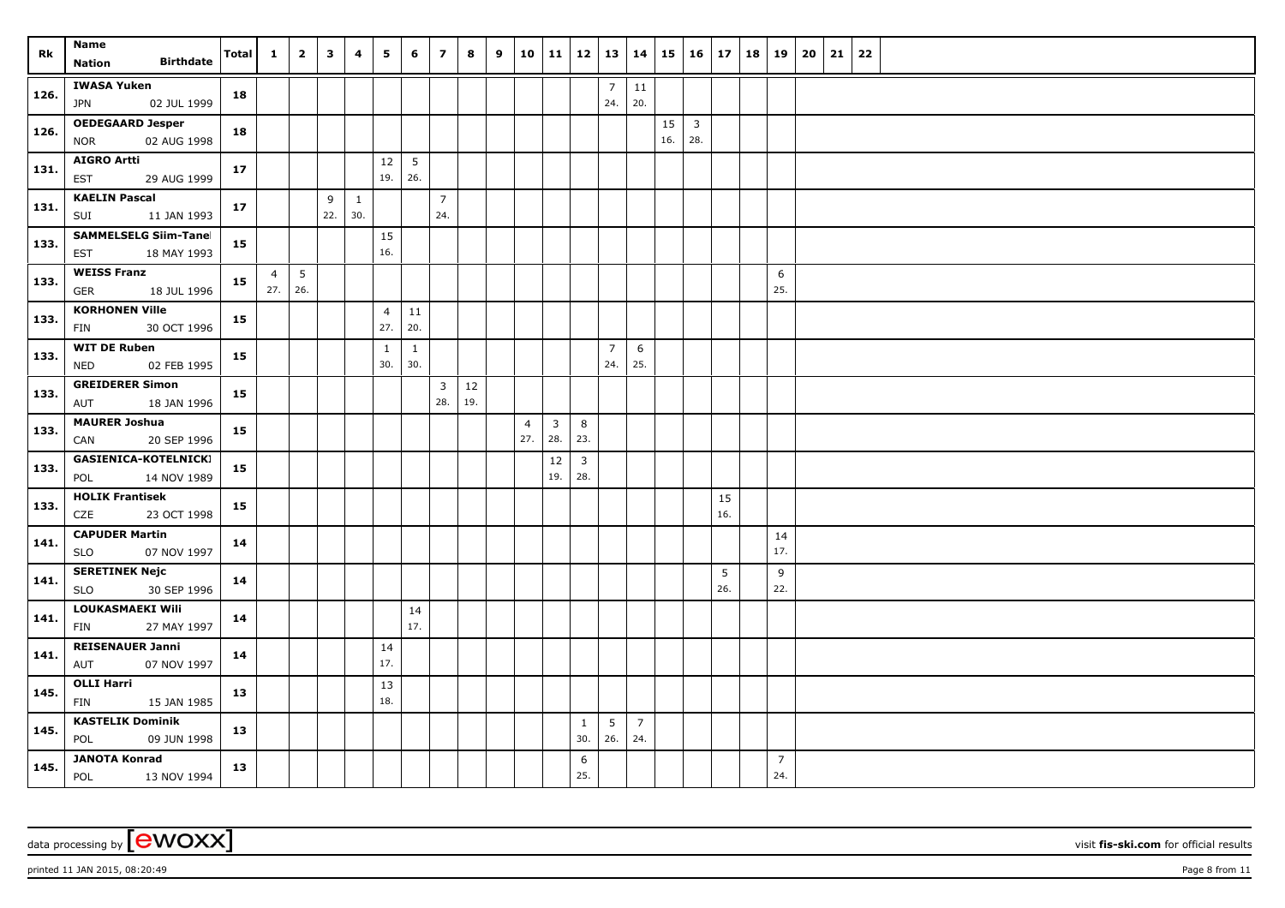| Rk   | <b>Name</b><br><b>Birthdate</b><br><b>Nation</b>     | Total | $\mathbf{1}$                | $\overline{2}$  | 3        | 4        | 5                     | 6                   | $\overline{z}$                 | 8             | 9 |                       | 10 11                          | $12 \mid 13$        |                       | 14                    | 15        | 16                             |           | $17 \mid 18$ | 19                    | 20 | 21 | 22 |  |
|------|------------------------------------------------------|-------|-----------------------------|-----------------|----------|----------|-----------------------|---------------------|--------------------------------|---------------|---|-----------------------|--------------------------------|---------------------|-----------------------|-----------------------|-----------|--------------------------------|-----------|--------------|-----------------------|----|----|----|--|
| 126. | <b>IWASA Yuken</b><br>02 JUL 1999<br><b>JPN</b>      | 18    |                             |                 |          |          |                       |                     |                                |               |   |                       |                                |                     | $\overline{7}$<br>24. | 11<br>20.             |           |                                |           |              |                       |    |    |    |  |
| 126. | <b>OEDEGAARD Jesper</b><br>02 AUG 1998<br><b>NOR</b> | 18    |                             |                 |          |          |                       |                     |                                |               |   |                       |                                |                     |                       |                       | 15<br>16. | $\overline{\mathbf{3}}$<br>28. |           |              |                       |    |    |    |  |
| 131. | <b>AIGRO Artti</b><br><b>EST</b><br>29 AUG 1999      | 17    |                             |                 |          |          | 12<br>19.             | 5<br>26.            |                                |               |   |                       |                                |                     |                       |                       |           |                                |           |              |                       |    |    |    |  |
| 131. | <b>KAELIN Pascal</b><br>SUI<br>11 JAN 1993           | 17    |                             |                 | 9<br>22. | 1<br>30. |                       |                     | $\overline{7}$<br>24.          |               |   |                       |                                |                     |                       |                       |           |                                |           |              |                       |    |    |    |  |
| 133. | <b>SAMMELSELG Siim-Tanel</b><br>18 MAY 1993<br>EST   | 15    |                             |                 |          |          | 15<br>16.             |                     |                                |               |   |                       |                                |                     |                       |                       |           |                                |           |              |                       |    |    |    |  |
| 133. | <b>WEISS Franz</b><br>18 JUL 1996<br>GER             | 15    | $\overline{4}$<br>$27.$ 26. | $5\phantom{.0}$ |          |          |                       |                     |                                |               |   |                       |                                |                     |                       |                       |           |                                |           |              | 6<br>25.              |    |    |    |  |
| 133. | <b>KORHONEN Ville</b><br>30 OCT 1996<br>FIN          | 15    |                             |                 |          |          | $\overline{4}$<br>27. | $11\,$<br>20.       |                                |               |   |                       |                                |                     |                       |                       |           |                                |           |              |                       |    |    |    |  |
| 133. | <b>WIT DE Ruben</b><br>02 FEB 1995<br><b>NED</b>     | 15    |                             |                 |          |          | $\mathbf{1}$<br>30.   | $\mathbf{1}$<br>30. |                                |               |   |                       |                                |                     | $\overline{7}$<br>24. | 6<br>25.              |           |                                |           |              |                       |    |    |    |  |
| 133. | <b>GREIDERER Simon</b><br>AUT<br>18 JAN 1996         | 15    |                             |                 |          |          |                       |                     | $\overline{\mathbf{3}}$<br>28. | $12\,$<br>19. |   |                       |                                |                     |                       |                       |           |                                |           |              |                       |    |    |    |  |
| 133. | <b>MAURER Joshua</b><br>20 SEP 1996<br>CAN           | 15    |                             |                 |          |          |                       |                     |                                |               |   | $\overline{4}$<br>27. | $\overline{\mathbf{3}}$<br>28. | 8<br>23.            |                       |                       |           |                                |           |              |                       |    |    |    |  |
| 133. | <b>GASIENICA-KOTELNICKI</b><br>POL<br>14 NOV 1989    | 15    |                             |                 |          |          |                       |                     |                                |               |   |                       | 12<br>19.                      | $\mathbf{3}$<br>28. |                       |                       |           |                                |           |              |                       |    |    |    |  |
| 133. | <b>HOLIK Frantisek</b><br>CZE<br>23 OCT 1998         | 15    |                             |                 |          |          |                       |                     |                                |               |   |                       |                                |                     |                       |                       |           |                                | 15<br>16. |              |                       |    |    |    |  |
| 141. | <b>CAPUDER Martin</b><br>07 NOV 1997<br><b>SLO</b>   | 14    |                             |                 |          |          |                       |                     |                                |               |   |                       |                                |                     |                       |                       |           |                                |           |              | 14<br>17.             |    |    |    |  |
| 141. | <b>SERETINEK Nejc</b><br>30 SEP 1996<br><b>SLO</b>   | 14    |                             |                 |          |          |                       |                     |                                |               |   |                       |                                |                     |                       |                       |           |                                | 5<br>26.  |              | 9<br>22.              |    |    |    |  |
| 141. | LOUKASMAEKI Wili<br>27 MAY 1997<br>FIN               | 14    |                             |                 |          |          |                       | 14<br>17.           |                                |               |   |                       |                                |                     |                       |                       |           |                                |           |              |                       |    |    |    |  |
| 141. | <b>REISENAUER Janni</b><br>AUT<br>07 NOV 1997        | 14    |                             |                 |          |          | 14<br>17.             |                     |                                |               |   |                       |                                |                     |                       |                       |           |                                |           |              |                       |    |    |    |  |
| 145. | <b>OLLI Harri</b><br>FIN<br>15 JAN 1985              | 13    |                             |                 |          |          | 13<br>18.             |                     |                                |               |   |                       |                                |                     |                       |                       |           |                                |           |              |                       |    |    |    |  |
| 145. | <b>KASTELIK Dominik</b><br>POL<br>09 JUN 1998        | 13    |                             |                 |          |          |                       |                     |                                |               |   |                       |                                | $\mathbf{1}$<br>30. | 5<br>26.              | $\overline{7}$<br>24. |           |                                |           |              |                       |    |    |    |  |
| 145. | <b>JANOTA Konrad</b><br><b>POL</b><br>13 NOV 1994    | 13    |                             |                 |          |          |                       |                     |                                |               |   |                       |                                | 6<br>25.            |                       |                       |           |                                |           |              | $\overline{7}$<br>24. |    |    |    |  |

data processing by **CWOXX** visit fis-ski.com for official results

printed 11 JAN 2015, 08:20:49 Page 8 from 11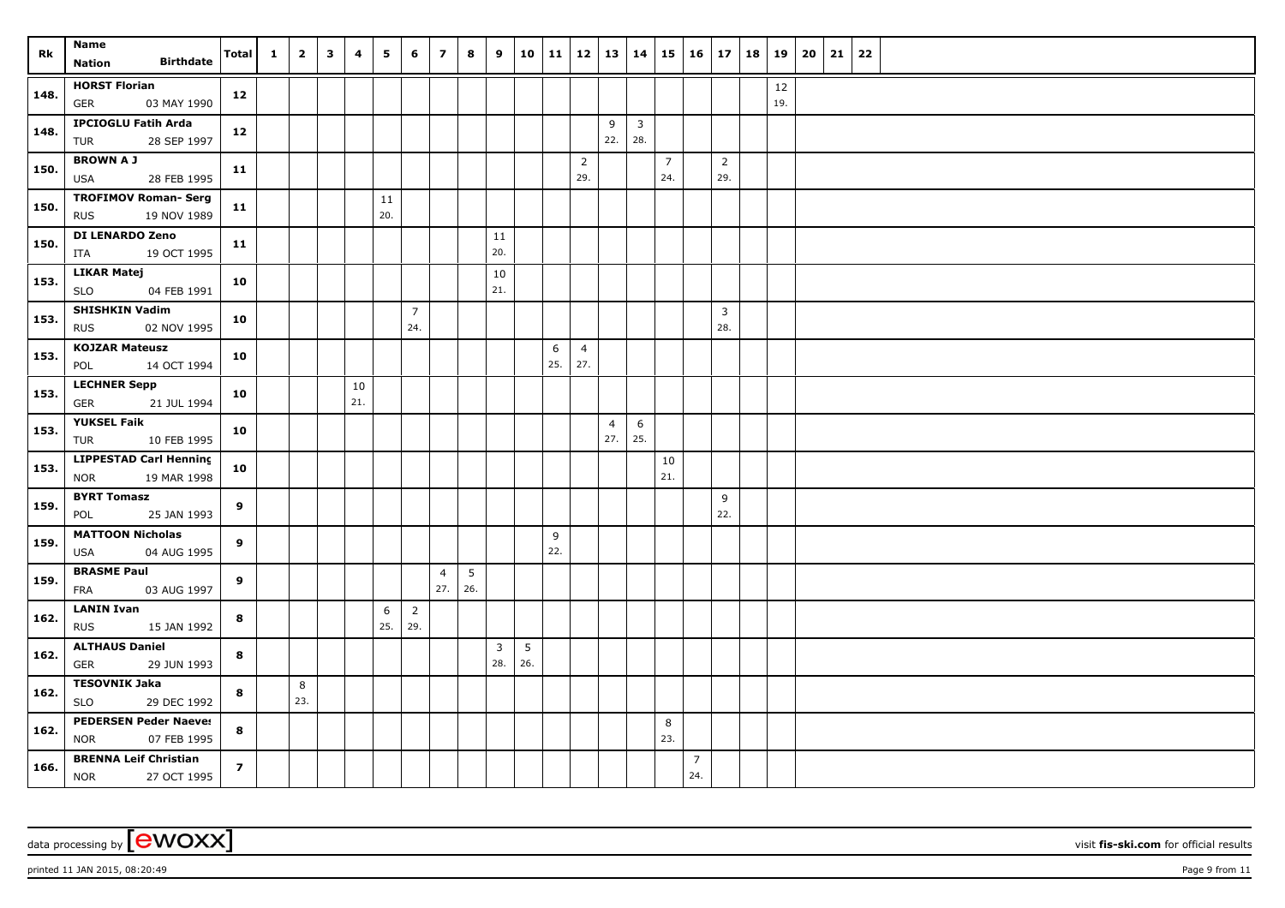|      | Name                                      |                  |                | $\mathbf{1}$ | $\overline{2}$ | $\overline{\mathbf{3}}$ | 4   | $5^{\circ}$ | 6              | $\overline{z}$        | 8   | 9                     |          | 10   11 | 12   13   14   |                |                         |                | $15 \mid 16 \mid 17$ |                |     | 18   19   20   21 | 22 |  |
|------|-------------------------------------------|------------------|----------------|--------------|----------------|-------------------------|-----|-------------|----------------|-----------------------|-----|-----------------------|----------|---------|----------------|----------------|-------------------------|----------------|----------------------|----------------|-----|-------------------|----|--|
| Rk   | Nation                                    | <b>Birthdate</b> | Total          |              |                |                         |     |             |                |                       |     |                       |          |         |                |                |                         |                |                      |                |     |                   |    |  |
| 148. | <b>HORST Florian</b>                      |                  | 12             |              |                |                         |     |             |                |                       |     |                       |          |         |                |                |                         |                |                      |                | 12  |                   |    |  |
|      | <b>GER</b>                                | 03 MAY 1990      |                |              |                |                         |     |             |                |                       |     |                       |          |         |                |                |                         |                |                      |                | 19. |                   |    |  |
| 148. | <b>IPCIOGLU Fatih Arda</b>                |                  | 12             |              |                |                         |     |             |                |                       |     |                       |          |         |                | 9              | $\overline{\mathbf{3}}$ |                |                      |                |     |                   |    |  |
|      | TUR                                       | 28 SEP 1997      |                |              |                |                         |     |             |                |                       |     |                       |          |         |                | 22.            | 28.                     |                |                      |                |     |                   |    |  |
| 150. | <b>BROWN A J</b>                          |                  | 11             |              |                |                         |     |             |                |                       |     |                       |          |         | $\overline{2}$ |                |                         | $\overline{7}$ |                      | $\overline{2}$ |     |                   |    |  |
|      | USA                                       | 28 FEB 1995      |                |              |                |                         |     |             |                |                       |     |                       |          |         | 29.            |                |                         | 24.            |                      | 29.            |     |                   |    |  |
| 150. | <b>TROFIMOV Roman- Serg</b><br><b>RUS</b> | 19 NOV 1989      | 11             |              |                |                         |     | 11<br>20.   |                |                       |     |                       |          |         |                |                |                         |                |                      |                |     |                   |    |  |
|      |                                           |                  |                |              |                |                         |     |             |                |                       |     |                       |          |         |                |                |                         |                |                      |                |     |                   |    |  |
| 150. | <b>DI LENARDO Zeno</b><br>ITA             | 19 OCT 1995      | 11             |              |                |                         |     |             |                |                       |     | 11<br>20.             |          |         |                |                |                         |                |                      |                |     |                   |    |  |
|      | <b>LIKAR Matej</b>                        |                  |                |              |                |                         |     |             |                |                       |     |                       |          |         |                |                |                         |                |                      |                |     |                   |    |  |
| 153. | <b>SLO</b>                                | 04 FEB 1991      | 10             |              |                |                         |     |             |                |                       |     | 10<br>21.             |          |         |                |                |                         |                |                      |                |     |                   |    |  |
|      | <b>SHISHKIN Vadim</b>                     |                  |                |              |                |                         |     |             | $\overline{7}$ |                       |     |                       |          |         |                |                |                         |                |                      | $\overline{3}$ |     |                   |    |  |
| 153. | <b>RUS</b>                                | 02 NOV 1995      | 10             |              |                |                         |     |             | 24.            |                       |     |                       |          |         |                |                |                         |                |                      | 28.            |     |                   |    |  |
|      | <b>KOJZAR Mateusz</b>                     |                  |                |              |                |                         |     |             |                |                       |     |                       |          | 6       | $\overline{4}$ |                |                         |                |                      |                |     |                   |    |  |
| 153. | POL                                       | 14 OCT 1994      | 10             |              |                |                         |     |             |                |                       |     |                       |          | 25.     | 27.            |                |                         |                |                      |                |     |                   |    |  |
|      | <b>LECHNER Sepp</b>                       |                  |                |              |                |                         | 10  |             |                |                       |     |                       |          |         |                |                |                         |                |                      |                |     |                   |    |  |
| 153. | <b>GER</b>                                | 21 JUL 1994      | 10             |              |                |                         | 21. |             |                |                       |     |                       |          |         |                |                |                         |                |                      |                |     |                   |    |  |
| 153. | <b>YUKSEL Faik</b>                        |                  |                |              |                |                         |     |             |                |                       |     |                       |          |         |                | $\overline{4}$ | 6                       |                |                      |                |     |                   |    |  |
|      | TUR                                       | 10 FEB 1995      | 10             |              |                |                         |     |             |                |                       |     |                       |          |         |                | 27.            | 25.                     |                |                      |                |     |                   |    |  |
| 153. | <b>LIPPESTAD Carl Henning</b>             |                  | 10             |              |                |                         |     |             |                |                       |     |                       |          |         |                |                |                         | 10             |                      |                |     |                   |    |  |
|      | <b>NOR</b>                                | 19 MAR 1998      |                |              |                |                         |     |             |                |                       |     |                       |          |         |                |                |                         | 21.            |                      |                |     |                   |    |  |
| 159. | <b>BYRT Tomasz</b>                        |                  | 9              |              |                |                         |     |             |                |                       |     |                       |          |         |                |                |                         |                |                      | 9              |     |                   |    |  |
|      | POL                                       | 25 JAN 1993      |                |              |                |                         |     |             |                |                       |     |                       |          |         |                |                |                         |                |                      | 22.            |     |                   |    |  |
| 159. | <b>MATTOON Nicholas</b>                   |                  | 9              |              |                |                         |     |             |                |                       |     |                       |          | 9       |                |                |                         |                |                      |                |     |                   |    |  |
|      | USA                                       | 04 AUG 1995      |                |              |                |                         |     |             |                |                       |     |                       |          | 22.     |                |                |                         |                |                      |                |     |                   |    |  |
| 159. | <b>BRASME Paul</b>                        |                  | 9              |              |                |                         |     |             |                | $\overline{4}$<br>27. | 5   |                       |          |         |                |                |                         |                |                      |                |     |                   |    |  |
|      | FRA                                       | 03 AUG 1997      |                |              |                |                         |     |             |                |                       | 26. |                       |          |         |                |                |                         |                |                      |                |     |                   |    |  |
| 162. | <b>LANIN Ivan</b>                         |                  | 8              |              |                |                         |     | 6<br>25.    | $\overline{2}$ |                       |     |                       |          |         |                |                |                         |                |                      |                |     |                   |    |  |
|      | <b>RUS</b>                                | 15 JAN 1992      |                |              |                |                         |     |             | 29.            |                       |     |                       |          |         |                |                |                         |                |                      |                |     |                   |    |  |
| 162. | <b>ALTHAUS Daniel</b><br>GER              | 29 JUN 1993      | 8              |              |                |                         |     |             |                |                       |     | $\overline{3}$<br>28. | 5<br>26. |         |                |                |                         |                |                      |                |     |                   |    |  |
|      | <b>TESOVNIK Jaka</b>                      |                  |                |              | 8              |                         |     |             |                |                       |     |                       |          |         |                |                |                         |                |                      |                |     |                   |    |  |
| 162. | <b>SLO</b>                                | 29 DEC 1992      | 8              |              | 23.            |                         |     |             |                |                       |     |                       |          |         |                |                |                         |                |                      |                |     |                   |    |  |
|      | <b>PEDERSEN Peder Naeves</b>              |                  |                |              |                |                         |     |             |                |                       |     |                       |          |         |                |                |                         | 8              |                      |                |     |                   |    |  |
| 162. | <b>NOR</b>                                | 07 FEB 1995      | 8              |              |                |                         |     |             |                |                       |     |                       |          |         |                |                |                         | 23.            |                      |                |     |                   |    |  |
|      | <b>BRENNA Leif Christian</b>              |                  |                |              |                |                         |     |             |                |                       |     |                       |          |         |                |                |                         |                | $\overline{7}$       |                |     |                   |    |  |
| 166. | <b>NOR</b>                                | 27 OCT 1995      | $\overline{z}$ |              |                |                         |     |             |                |                       |     |                       |          |         |                |                |                         |                | 24.                  |                |     |                   |    |  |

printed 11 JAN 2015, 08:20:49 Page 9 from 11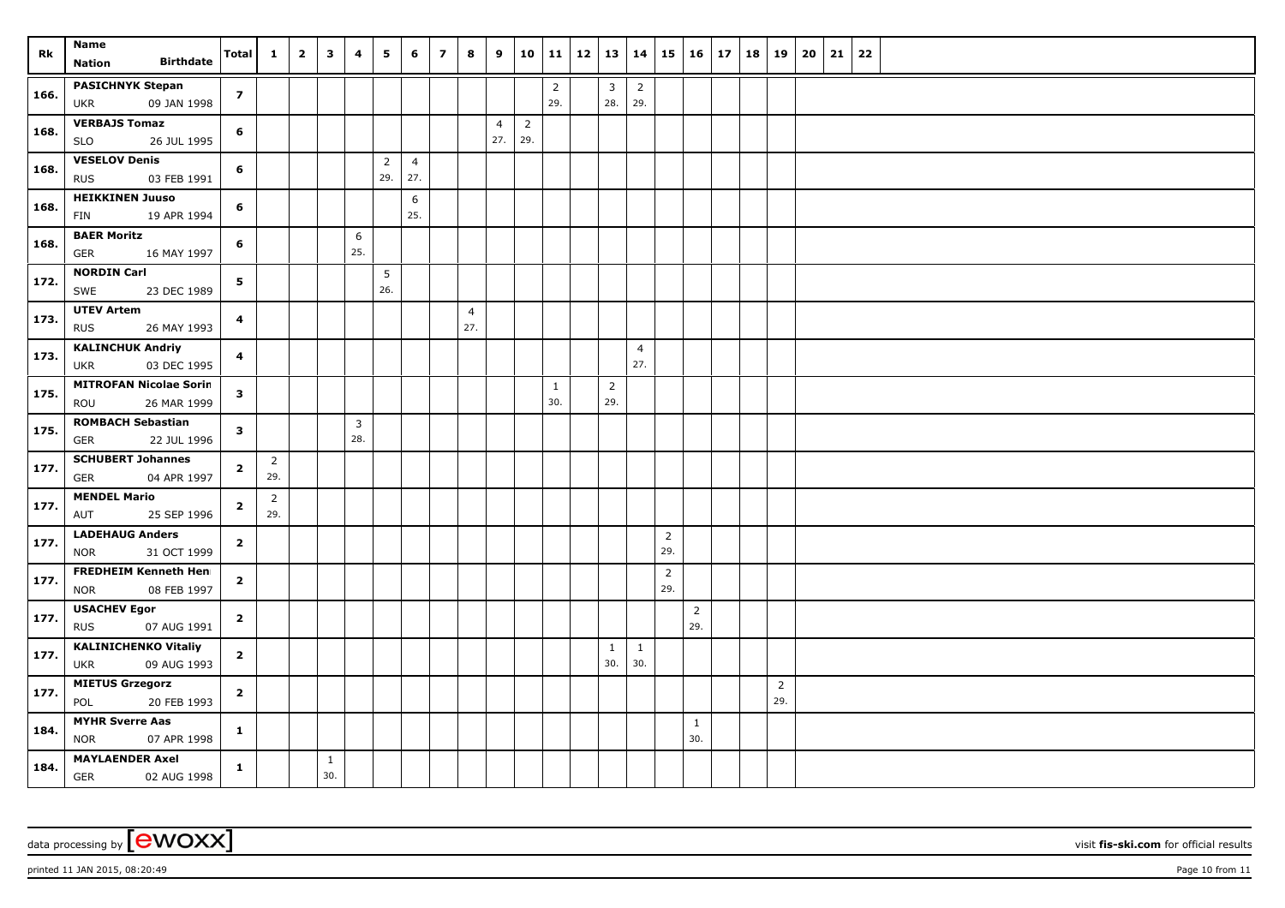| Rk   | Name<br><b>Birthdate</b><br>Nation                        | Total                   | $\mathbf{1}$          | $\overline{2}$ | $\overline{\mathbf{3}}$ | 4   | 5                     | 6                     | $\overline{ }$ | 8                     | 9                     |                       |                     | 10   11   12   13   14 |                       |                       | 15                    | $16 \mid 17$          |  | 18   19               | 20 | 21 | 22 |  |
|------|-----------------------------------------------------------|-------------------------|-----------------------|----------------|-------------------------|-----|-----------------------|-----------------------|----------------|-----------------------|-----------------------|-----------------------|---------------------|------------------------|-----------------------|-----------------------|-----------------------|-----------------------|--|-----------------------|----|----|----|--|
|      | <b>PASICHNYK Stepan</b>                                   | $\overline{z}$          |                       |                |                         |     |                       |                       |                |                       |                       |                       | $\overline{2}$      |                        | $\overline{3}$        | $\overline{2}$        |                       |                       |  |                       |    |    |    |  |
| 166. | <b>UKR</b><br>09 JAN 1998                                 |                         |                       |                |                         |     |                       |                       |                |                       |                       |                       | 29.                 |                        | 28.                   | 29.                   |                       |                       |  |                       |    |    |    |  |
| 168. | <b>VERBAJS Tomaz</b><br><b>SLO</b><br>26 JUL 1995         | 6                       |                       |                |                         |     |                       |                       |                |                       | $\overline{4}$<br>27. | $\overline{2}$<br>29. |                     |                        |                       |                       |                       |                       |  |                       |    |    |    |  |
| 168. | <b>VESELOV Denis</b><br><b>RUS</b><br>03 FEB 1991         | 6                       |                       |                |                         |     | $\overline{2}$<br>29. | $\overline{4}$<br>27. |                |                       |                       |                       |                     |                        |                       |                       |                       |                       |  |                       |    |    |    |  |
| 168. | <b>HEIKKINEN Juuso</b><br>19 APR 1994<br>FIN              | 6                       |                       |                |                         |     |                       | 6<br>25.              |                |                       |                       |                       |                     |                        |                       |                       |                       |                       |  |                       |    |    |    |  |
|      | <b>BAER Moritz</b>                                        |                         |                       |                |                         | 6   |                       |                       |                |                       |                       |                       |                     |                        |                       |                       |                       |                       |  |                       |    |    |    |  |
| 168. | <b>GER</b><br>16 MAY 1997                                 | 6                       |                       |                |                         | 25. |                       |                       |                |                       |                       |                       |                     |                        |                       |                       |                       |                       |  |                       |    |    |    |  |
| 172. | <b>NORDIN Carl</b><br>SWE<br>23 DEC 1989                  | 5                       |                       |                |                         |     | 5<br>26.              |                       |                |                       |                       |                       |                     |                        |                       |                       |                       |                       |  |                       |    |    |    |  |
| 173. | <b>UTEV Artem</b><br>26 MAY 1993<br><b>RUS</b>            | $\overline{\mathbf{4}}$ |                       |                |                         |     |                       |                       |                | $\overline{4}$<br>27. |                       |                       |                     |                        |                       |                       |                       |                       |  |                       |    |    |    |  |
| 173. | <b>KALINCHUK Andriy</b><br>03 DEC 1995<br><b>UKR</b>      | $\overline{\mathbf{4}}$ |                       |                |                         |     |                       |                       |                |                       |                       |                       |                     |                        |                       | $\overline{4}$<br>27. |                       |                       |  |                       |    |    |    |  |
| 175. | <b>MITROFAN Nicolae Sorin</b><br>26 MAR 1999<br>ROU       | $\mathbf{3}$            |                       |                |                         |     |                       |                       |                |                       |                       |                       | $\mathbf{1}$<br>30. |                        | $\overline{2}$<br>29. |                       |                       |                       |  |                       |    |    |    |  |
|      | <b>ROMBACH Sebastian</b>                                  |                         |                       |                |                         | 3   |                       |                       |                |                       |                       |                       |                     |                        |                       |                       |                       |                       |  |                       |    |    |    |  |
| 175. | 22 JUL 1996<br>GER                                        | $\mathbf{3}$            |                       |                |                         | 28. |                       |                       |                |                       |                       |                       |                     |                        |                       |                       |                       |                       |  |                       |    |    |    |  |
| 177. | <b>SCHUBERT Johannes</b><br>GER<br>04 APR 1997            | $\mathbf{2}$            | $\overline{2}$<br>29. |                |                         |     |                       |                       |                |                       |                       |                       |                     |                        |                       |                       |                       |                       |  |                       |    |    |    |  |
| 177. | <b>MENDEL Mario</b><br>25 SEP 1996<br>AUT                 | $\overline{2}$          | $\overline{2}$<br>29. |                |                         |     |                       |                       |                |                       |                       |                       |                     |                        |                       |                       |                       |                       |  |                       |    |    |    |  |
| 177. | <b>LADEHAUG Anders</b><br>31 OCT 1999<br><b>NOR</b>       | $\overline{2}$          |                       |                |                         |     |                       |                       |                |                       |                       |                       |                     |                        |                       |                       | $\overline{2}$<br>29. |                       |  |                       |    |    |    |  |
| 177. | <b>FREDHEIM Kenneth Henr</b><br>08 FEB 1997<br><b>NOR</b> | $\overline{2}$          |                       |                |                         |     |                       |                       |                |                       |                       |                       |                     |                        |                       |                       | $\overline{2}$<br>29. |                       |  |                       |    |    |    |  |
| 177. | <b>USACHEV Egor</b><br><b>RUS</b><br>07 AUG 1991          | $\overline{2}$          |                       |                |                         |     |                       |                       |                |                       |                       |                       |                     |                        |                       |                       |                       | $\overline{2}$<br>29. |  |                       |    |    |    |  |
| 177. | <b>KALINICHENKO Vitaliy</b><br>09 AUG 1993<br><b>UKR</b>  | $\overline{2}$          |                       |                |                         |     |                       |                       |                |                       |                       |                       |                     |                        | $\mathbf{1}$<br>30.   | $\mathbf{1}$<br>30.   |                       |                       |  |                       |    |    |    |  |
| 177. | <b>MIETUS Grzegorz</b><br>POL<br>20 FEB 1993              | $\mathbf{2}$            |                       |                |                         |     |                       |                       |                |                       |                       |                       |                     |                        |                       |                       |                       |                       |  | $\overline{2}$<br>29. |    |    |    |  |
| 184. | <b>MYHR Sverre Aas</b><br>07 APR 1998<br><b>NOR</b>       | $\mathbf{1}$            |                       |                |                         |     |                       |                       |                |                       |                       |                       |                     |                        |                       |                       |                       | $\mathbf{1}$<br>30.   |  |                       |    |    |    |  |
| 184. | <b>MAYLAENDER Axel</b><br>GER<br>02 AUG 1998              | $\mathbf{1}$            |                       |                | $\mathbf{1}$<br>30.     |     |                       |                       |                |                       |                       |                       |                     |                        |                       |                       |                       |                       |  |                       |    |    |    |  |